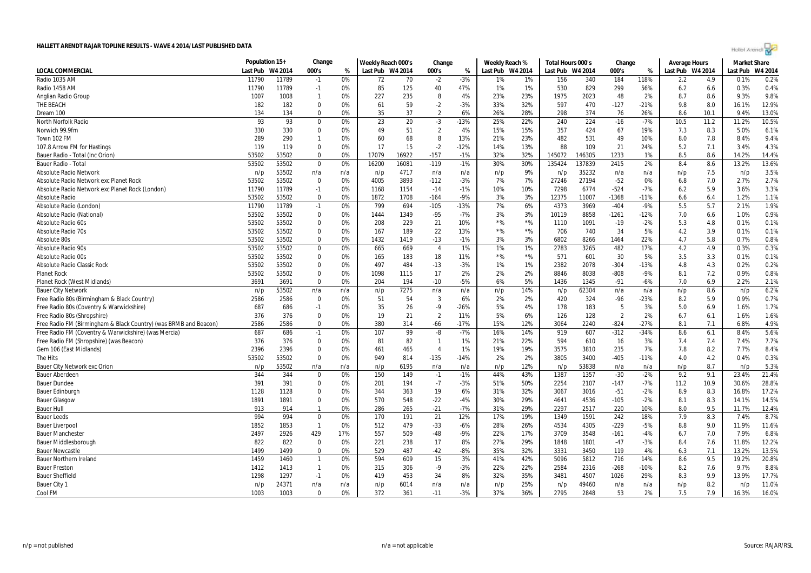|                                                                  | Population 15+ |         | Change         |     | Weekly Reach 000's |       | Change         |        | Weekly Reach %   |       | Total Hours 000's |         | Change         |        | <b>Average Hours</b> |      | <b>Market Share</b> |         |
|------------------------------------------------------------------|----------------|---------|----------------|-----|--------------------|-------|----------------|--------|------------------|-------|-------------------|---------|----------------|--------|----------------------|------|---------------------|---------|
| <b>LOCAL COMMERCIAL</b>                                          | Last Pub       | W4 2014 | 000's          | %   | Last Pub W4 2014   |       | 000's          | %      | Last Pub W4 2014 |       | Last Pub          | W4 2014 | 000's          | %      | Last Pub W4 2014     |      | Last Pub            | W4 2014 |
| Radio 1035 AM                                                    | 11790          | 11789   | $-1$           | 0%  | 72                 | 70    | $-2$           | $-3%$  | 1%               | 1%    | 156               | 340     | 184            | 118%   | 2.2                  | 4.9  | 0.1%                | 0.2%    |
| Radio 1458 AM                                                    | 11790          | 11789   | $-1$           | 0%  | 85                 | 125   | 40             | 47%    | 1%               | 1%    | 530               | 829     | 299            | 56%    | 6.2                  | 6.6  | 0.3%                | 0.4%    |
| Anglian Radio Group                                              | 1007           | 1008    | $\overline{1}$ | 0%  | 227                | 235   | 8              | 4%     | 23%              | 23%   | 1975              | 2023    | 48             | 2%     | 8.7                  | 8.6  | 9.3%                | 9.8%    |
| THE BEACH                                                        | 182            | 182     | $\mathbf{0}$   | 0%  | 61                 | 59    | $-2$           | $-3%$  | 33%              | 32%   | 597               | 470     | $-127$         | $-21%$ | 9.8                  | 8.0  | 16.1%               | 12.9%   |
| Dream 100                                                        | 134            | 134     | $\mathbf 0$    | 0%  | 35                 | 37    | $\overline{2}$ | 6%     | 26%              | 28%   | 298               | 374     | 76             | 26%    | 8.6                  | 10.1 | 9.4%                | 13.0%   |
| North Norfolk Radio                                              | 93             | 93      | $\mathbf{0}$   | 0%  | 23                 | 20    | $-3$           | $-13%$ | 25%              | 22%   | 240               | 224     | $-16$          | $-7%$  | 10.5                 | 11.2 | 11.2%               | 10.5%   |
| Norwich 99.9fm                                                   | 330            | 330     | $\mathbf 0$    | 0%  | 49                 | 51    | $\overline{2}$ | 4%     | 15%              | 15%   | 357               | 424     | 67             | 19%    | 7.3                  | 8.3  | 5.0%                | 6.1%    |
| Town 102 FM                                                      | 289            | 290     | 1              | 0%  | 60                 | 68    | 8              | 13%    | 21%              | 23%   | 482               | 531     | 49             | 10%    | 8.0                  | 7.8  | 8.4%                | 9.4%    |
| 107.8 Arrow FM for Hastings                                      | 119            | 119     | $\Omega$       | 0%  | 17                 | 15    | $-2$           | $-12%$ | 14%              | 13%   | 88                | 109     | 21             | 24%    | 5.2                  | 7.1  | 3.4%                | 4.3%    |
| Bauer Radio - Total (Inc Orion)                                  | 53502          | 53502   | $\mathbf{0}$   | 0%  | 17079              | 16922 | $-157$         | $-1%$  | 32%              | 32%   | 145072            | 146305  | 1233           | 1%     | 8.5                  | 8.6  | 14.2%               | 14.4%   |
| Bauer Radio - Total                                              | 53502          | 53502   | 0              | 0%  | 16200              | 16081 | $-119$         | $-1%$  | 30%              | 30%   | 135424            | 137839  | 2415           | 2%     | 8.4                  | 8.6  | 13.2%               | 13.6%   |
| Absolute Radio Network                                           | n/p            | 53502   | n/a            | n/a | n/p                | 4717  | n/a            | n/a    | n/p              | 9%    | n/p               | 35232   | n/a            | n/a    | n/p                  | 7.5  | n/p                 | 3.5%    |
| Absolute Radio Network exc Planet Rock                           | 53502          | 53502   | $\mathbf{0}$   | 0%  | 4005               | 3893  | $-112$         | $-3%$  | 7%               | 7%    | 27246             | 27194   | $-52$          | 0%     | 6.8                  | 7.0  | 2.7%                | 2.7%    |
| Absolute Radio Network exc Planet Rock (London)                  | 11790          | 11789   | $-1$           | 0%  | 1168               | 1154  | $-14$          | $-1%$  | 10%              | 10%   | 7298              | 6774    | $-524$         | $-7%$  | 6.2                  | 5.9  | 3.6%                | 3.3%    |
| Absolute Radio                                                   | 53502          | 53502   | $\mathbf 0$    | 0%  | 1872               | 1708  | $-164$         | $-9%$  | 3%               | 3%    | 12375             | 11007   | $-1368$        | $-11%$ | 6.6                  | 6.4  | 1.2%                | 1.1%    |
| Absolute Radio (London)                                          | 11790          | 11789   | $-1$           | 0%  | 799                | 694   | $-105$         | $-13%$ | 7%               | 6%    | 4373              | 3969    | $-404$         | $-9%$  | 5.5                  | 5.7  | 2.1%                | 1.9%    |
| Absolute Radio (National)                                        | 53502          | 53502   | $\Omega$       | 0%  | 1444               | 1349  | $-95$          | $-7%$  | 3%               | 3%    | 10119             | 8858    | $-1261$        | $-12%$ | 7.0                  | 6.6  | 1.0%                | 0.9%    |
| Absolute Radio 60s                                               | 53502          | 53502   | $\mathbf 0$    | 0%  | 208                | 229   | 21             | 10%    | $*$ %            | $*$ % | 1110              | 1091    | $-19$          | $-2%$  | 5.3                  | 4.8  | 0.1%                | 0.1%    |
| Absolute Radio 70s                                               | 53502          | 53502   | 0              | 0%  | 167                | 189   | 22             | 13%    | $*$ %            | $*$ % | 706               | 740     | 34             | 5%     | 4.2                  | 3.9  | 0.1%                | 0.1%    |
| Absolute 80s                                                     | 53502          | 53502   | $\Omega$       | 0%  | 1432               | 1419  | $-13$          | $-1%$  | 3%               | 3%    | 6802              | 8266    | 1464           | 22%    | 4.7                  | 5.8  | 0.7%                | 0.8%    |
| <b>Absolute Radio 90s</b>                                        | 53502          | 53502   | $\mathbf 0$    | 0%  | 665                | 669   | $\overline{4}$ | 1%     | 1%               | 1%    | 2783              | 3265    | 482            | 17%    | 4.2                  | 4.9  | 0.3%                | 0.3%    |
| Absolute Radio 00s                                               | 53502          | 53502   | 0              | 0%  | 165                | 183   | 18             | 11%    | $*$ %            | $*$ % | 571               | 601     | 30             | 5%     | 3.5                  | 3.3  | 0.1%                | 0.1%    |
| Absolute Radio Classic Rock                                      | 53502          | 53502   | $\Omega$       | 0%  | 497                | 484   | $-13$          | $-3%$  | 1%               | 1%    | 2382              | 2078    | $-304$         | $-13%$ | 4.8                  | 4.3  | 0.2%                | 0.2%    |
| <b>Planet Rock</b>                                               | 53502          | 53502   | $\Omega$       | 0%  | 1098               | 1115  | 17             | 2%     | 2%               | 2%    | 8846              | 8038    | $-808$         | $-9%$  | 8.1                  | 7.2  | 0.9%                | 0.8%    |
| Planet Rock (West Midlands)                                      | 3691           | 3691    | 0              | 0%  | 204                | 194   | $-10$          | $-5%$  | 6%               | 5%    | 1436              | 1345    | $-91$          | $-6%$  | 7.0                  | 6.9  | 2.2%                | 2.1%    |
| <b>Bauer City Network</b>                                        | n/p            | 53502   | n/a            | n/a | n/p                | 7275  | n/a            | n/a    | n/p              | 14%   | n/p               | 62304   | n/a            | n/a    | n/p                  | 8.6  | n/p                 | 6.2%    |
| Free Radio 80s (Birmingham & Black Country)                      | 2586           | 2586    | $\mathbf 0$    | 0%  | 51                 | 54    | $\overline{3}$ | 6%     | 2%               | 2%    | 420               | 324     | -96            | $-23%$ | 8.2                  | 5.9  | 0.9%                | 0.7%    |
| Free Radio 80s (Coventry & Warwickshire)                         | 687            | 686     | $-1$           | 0%  | 35                 | 26    | $-9$           | $-26%$ | 5%               | 4%    | 178               | 183     | 5              | 3%     | 5.0                  | 6.9  | 1.6%                | 1.7%    |
| Free Radio 80s (Shropshire)                                      | 376            | 376     | $\mathbf{0}$   | 0%  | 19                 | 21    | $\overline{2}$ | 11%    | 5%               | 6%    | 126               | 128     | $\overline{2}$ | 2%     | 6.7                  | 6.1  | 1.6%                | 1.6%    |
| Free Radio FM (Birmingham & Black Country) (was BRMB and Beacon) | 2586           | 2586    | $\mathbf 0$    | 0%  | 380                | 314   | $-66$          | $-17%$ | 15%              | 12%   | 3064              | 2240    | $-824$         | $-27%$ | 8.1                  | 7.1  | 6.8%                | 4.9%    |
| Free Radio FM (Coventry & Warwickshire) (was Mercia)             | 687            | 686     | $-1$           | 0%  | 107                | 99    | -8             | $-7%$  | 16%              | 14%   | 919               | 607     | $-312$         | $-34%$ | 8.6                  | 6.1  | 8.4%                | 5.6%    |
| Free Radio FM (Shropshire) (was Beacon)                          | 376            | 376     | $\Omega$       | 0%  | 81                 | 82    | $\mathbf{1}$   | 1%     | 21%              | 22%   | 594               | 610     | 16             | 3%     | 7.4                  | 7.4  | 7.4%                | 7.7%    |
| Gem 106 (East Midlands)                                          | 2396           | 2396    | $\mathbf{0}$   | 0%  | 461                | 465   | $\overline{4}$ | 1%     | 19%              | 19%   | 3575              | 3810    | 235            | 7%     | 7.8                  | 8.2  | 7.7%                | 8.4%    |
| The Hits                                                         | 53502          | 53502   | $\mathbf{0}$   | 0%  | 949                | 814   | $-135$         | $-14%$ | 2%               | 2%    | 3805              | 3400    | $-405$         | $-11%$ | 4.0                  | 4.2  | 0.4%                | 0.3%    |
| Bauer City Network exc Orion                                     | n/p            | 53502   | n/a            | n/a | n/p                | 6195  | n/a            | n/a    | n/p              | 12%   | n/p               | 53838   | n/a            | n/a    | n/p                  | 8.7  | n/p                 | 5.3%    |
| <b>Bauer Aberdeen</b>                                            | 344            | 344     | 0              | 0%  | 150                | 149   | $-1$           | $-1%$  | 44%              | 43%   | 1387              | 1357    | $-30$          | $-2%$  | 9.2                  | 9.1  | 23.4%               | 21.4%   |
| <b>Bauer Dundee</b>                                              | 391            | 391     | $\mathbf{0}$   | 0%  | 201                | 194   | $-7$           | $-3%$  | 51%              | 50%   | 2254              | 2107    | $-147$         | $-7%$  | 11.2                 | 10.9 | 30.6%               | 28.8%   |
| <b>Bauer Edinburgh</b>                                           | 1128           | 1128    | $\Omega$       | 0%  | 344                | 363   | 19             | 6%     | 31%              | 32%   | 3067              | 3016    | $-51$          | $-2%$  | 8.9                  | 8.3  | 16.8%               | 17.2%   |
| <b>Bauer Glasgow</b>                                             | 1891           | 1891    | $\mathbf 0$    | 0%  | 570                | 548   | $-22$          | $-4%$  | 30%              | 29%   | 4641              | 4536    | $-105$         | $-2%$  | 8.1                  | 8.3  | 14.1%               | 14.5%   |
| <b>Bauer Hull</b>                                                | 913            | 914     | $\overline{1}$ | 0%  | 286                | 265   | $-21$          | $-7%$  | 31%              | 29%   | 2297              | 2517    | 220            | 10%    | 8.0                  | 9.5  | 11.7%               | 12.4%   |
| <b>Bauer Leeds</b>                                               | 994            | 994     | $\mathbf{0}$   | 0%  | 170                | 191   | 21             | 12%    | 17%              | 19%   | 1349              | 1591    | 242            | 18%    | 7.9                  | 8.3  | 7.4%                | 8.7%    |
| Bauer Liverpool                                                  | 1852           | 1853    | $\overline{1}$ | 0%  | 512                | 479   | $-33$          | $-6%$  | 28%              | 26%   | 4534              | 4305    | $-229$         | $-5%$  | 8.8                  | 9.0  | 11.9%               | 11.6%   |
| <b>Bauer Manchester</b>                                          | 2497           | 2926    | 429            | 17% | 557                | 509   | $-48$          | $-9%$  | 22%              | 17%   | 3709              | 3548    | $-161$         | $-4%$  | 6.7                  | 7.0  | 7.9%                | 6.8%    |
| Bauer Middlesborough                                             | 822            | 822     | $\mathbf{0}$   | 0%  | 221                | 238   | 17             | 8%     | 27%              | 29%   | 1848              | 1801    | $-47$          | $-3%$  | 8.4                  | 7.6  | 11.8%               | 12.2%   |
| Bauer Newcastle                                                  | 1499           | 1499    | $\mathbf 0$    | 0%  | 529                | 487   | -42            | $-8%$  | 35%              | 32%   | 3331              | 3450    | 119            | 4%     | 6.3                  | 7.1  | 13.2%               | 13.5%   |
| <b>Bauer Northern Ireland</b>                                    | 1459           | 1460    | $\overline{1}$ | 0%  | 594                | 609   | 15             | 3%     | 41%              | 42%   | 5096              | 5812    | 716            | 14%    | 8.6                  | 9.5  | 19.2%               | 20.8%   |
| <b>Bauer Preston</b>                                             | 1412           | 1413    | $\overline{1}$ | 0%  | 315                | 306   | $-9$           | $-3%$  | 22%              | 22%   | 2584              | 2316    | $-268$         | $-10%$ | 8.2                  | 7.6  | 9.7%                | 8.8%    |
| <b>Bauer Sheffield</b>                                           | 1298           | 1297    | $-1$           | 0%  | 419                | 453   | 34             | 8%     | 32%              | 35%   | 3481              | 4507    | 1026           | 29%    | 8.3                  | 9.9  | 13.9%               | 17.7%   |
| Bauer City 1                                                     | n/p            | 24371   | n/a            | n/a | n/p                | 6014  | n/a            | n/a    | n/p              | 25%   | n/p               | 49460   | n/a            | n/a    | n/p                  | 8.2  | n/p                 | 11.0%   |
| Cool FM                                                          | 1003           | 1003    | $\Omega$       | 0%  | 372                | 361   | $-11$          | $-3%$  | 37%              | 36%   | 2795              | 2848    | 53             | 2%     | 7.5                  | 7.9  | 16.3%               | 16.0%   |

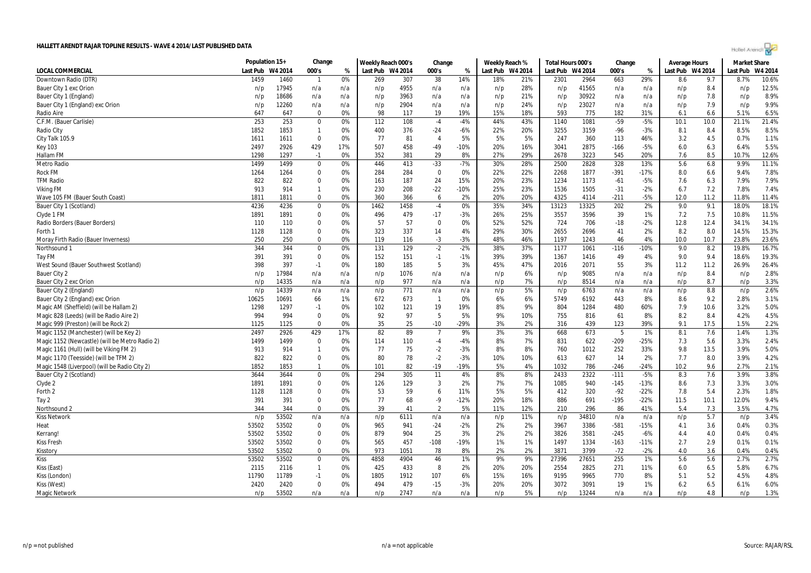Hollel Arendi

|                                                | Population 15+   |       | Change       |     | Weekly Reach 000's |      | Change         |        | Weekly Reach %   |     | Total Hours 000's |       | Change |        | Average Hours    |      | <b>Market Share</b> |         |
|------------------------------------------------|------------------|-------|--------------|-----|--------------------|------|----------------|--------|------------------|-----|-------------------|-------|--------|--------|------------------|------|---------------------|---------|
| <b>LOCAL COMMERCIAL</b>                        | Last Pub W4 2014 |       | 000's        | %   | Last Pub W4 2014   |      | 000's          | %      | Last Pub W4 2014 |     | Last Pub W4 2014  |       | 000's  | %      | Last Pub W4 2014 |      | Last Pub            | W4 2014 |
| Downtown Radio (DTR)                           | 1459             | 1460  | $\mathbf{1}$ | 0%  | 269                | 307  | 38             | 14%    | 18%              | 21% | 2301              | 2964  | 663    | 29%    | 8.6              | 9.7  | 8.7%                | 10.6%   |
| Bauer City 1 exc Orion                         | n/p              | 17945 | n/a          | n/a | n/p                | 4955 | n/a            | n/a    | n/p              | 28% | n/p               | 41565 | n/a    | n/a    | n/p              | 8.4  | n/p                 | 12.5%   |
| Bauer City 1 (England)                         | n/p              | 18686 | n/a          | n/a | n/p                | 3963 | n/a            | n/a    | n/p              | 21% | n/p               | 30922 | n/a    | n/a    | n/p              | 7.8  | n/p                 | 8.9%    |
| Bauer City 1 (England) exc Orion               | n/p              | 12260 | n/a          | n/a | n/p                | 2904 | n/a            | n/a    | n/p              | 24% | n/p               | 23027 | n/a    | n/a    | n/p              | 7.9  | n/p                 | 9.9%    |
| Radio Aire                                     | 647              | 647   | $\Omega$     | 0%  | 98                 | 117  | 19             | 19%    | 15%              | 18% | 593               | 775   | 182    | 31%    | 6.1              | 6.6  | 5.1%                | 6.5%    |
| C.F.M. (Bauer Carlisle)                        | 253              | 253   | $\mathbf 0$  | 0%  | 112                | 108  | $-4$           | $-4%$  | 44%              | 43% | 1140              | 1081  | $-59$  | $-5%$  | 10.1             | 10.0 | 21.1%               | 21.4%   |
| Radio City                                     | 1852             | 1853  | $\mathbf{1}$ | 0%  | 400                | 376  | $-24$          | $-6%$  | 22%              | 20% | 3255              | 3159  | -96    | $-3%$  | 8.1              | 8.4  | 8.5%                | 8.5%    |
| City Talk 105.9                                | 1611             | 1611  | $\Omega$     | 0%  | 77                 | 81   | $\overline{4}$ | 5%     | 5%               | 5%  | 247               | 360   | 113    | 46%    | 3.2              | 4.5  | 0.7%                | 1.1%    |
| <b>Key 103</b>                                 | 2497             | 2926  | 429          | 17% | 507                | 458  | $-49$          | $-10%$ | 20%              | 16% | 3041              | 2875  | $-166$ | $-5%$  | 6.0              | 6.3  | 6.4%                | 5.5%    |
| Hallam FM                                      | 1298             | 1297  | $-1$         | 0%  | 352                | 381  | 29             | 8%     | 27%              | 29% | 2678              | 3223  | 545    | 20%    | 7.6              | 8.5  | 10.7%               | 12.6%   |
| Metro Radio                                    | 1499             | 1499  | $\mathbf 0$  | 0%  | 446                | 413  | $-33$          | $-7%$  | 30%              | 28% | 2500              | 2828  | 328    | 13%    | 5.6              | 6.8  | 9.9%                | 11.1%   |
| <b>Rock FM</b>                                 | 1264             | 1264  | $\mathbf{0}$ | 0%  | 284                | 284  | $\mathbf 0$    | 0%     | 22%              | 22% | 2268              | 1877  | $-391$ | $-17%$ | 8.0              | 6.6  | 9.4%                | 7.8%    |
| <b>TFM Radio</b>                               | 822              | 822   | $\Omega$     | 0%  | 163                | 187  | 24             | 15%    | 20%              | 23% | 1234              | 1173  | $-61$  | $-5%$  | 7.6              | 6.3  | 7.9%                | 7.9%    |
| <b>Viking FM</b>                               | 913              | 914   | $\mathbf{1}$ | 0%  | 230                | 208  | $-22$          | -10%   | 25%              | 23% | 1536              | 1505  | $-31$  | $-2%$  | 6.7              | 7.2  | 7.8%                | 7.4%    |
| Wave 105 FM (Bauer South Coast)                | 1811             | 1811  | $\mathbf 0$  | 0%  | 360                | 366  | 6              | 2%     | 20%              | 20% | 4325              | 4114  | $-211$ | $-5%$  | 12.0             | 11.2 | 11.8%               | 11.4%   |
| Bauer City 1 (Scotland)                        | 4236             | 4236  | $\mathbf 0$  | 0%  | 1462               | 1458 | $-4$           | 0%     | 35%              | 34% | 13123             | 13325 | 202    | 2%     | 9.0              | 9.1  | 18.0%               | 18.1%   |
| Clyde 1 FM                                     | 1891             | 1891  | $\Omega$     | 0%  | 496                | 479  | $-17$          | $-3%$  | 26%              | 25% | 3557              | 3596  | 39     | 1%     | 7.2              | 7.5  | 10.8%               | 11.5%   |
| Radio Borders (Bauer Borders)                  | 110              | 110   | $\Omega$     | 0%  | 57                 | 57   | $\mathbf{0}$   | 0%     | 52%              | 52% | 724               | 706   | $-18$  | $-2%$  | 12.8             | 12.4 | 34.1%               | 34.1%   |
| Forth 1                                        | 1128             | 1128  | $\mathbf 0$  | 0%  | 323                | 337  | 14             | 4%     | 29%              | 30% | 2655              | 2696  | 41     | 2%     | 8.2              | 8.0  | 14.5%               | 15.3%   |
| Moray Firth Radio (Bauer Inverness)            | 250              | 250   | $\Omega$     | 0%  | 119                | 116  | $-3$           | $-3%$  | 48%              | 46% | 1197              | 1243  | 46     | 4%     | 10.0             | 10.7 | 23.8%               | 23.6%   |
| Northsound 1                                   | 344              | 344   | $\pmb{0}$    | 0%  | 131                | 129  | $-2$           | $-2%$  | 38%              | 37% | 1177              | 1061  | $-116$ | $-10%$ | 9.0              | 8.2  | 19.8%               | 16.7%   |
| Tay FM                                         | 391              | 391   | $\mathbf 0$  | 0%  | 152                | 151  | $-1$           | $-1%$  | 39%              | 39% | 1367              | 1416  | 49     | 4%     | 9.0              | 9.4  | 18.6%               | 19.3%   |
| West Sound (Bauer Southwest Scotland)          | 398              | 397   | $-1$         | 0%  | 180                | 185  | 5              | 3%     | 45%              | 47% | 2016              | 2071  | 55     | 3%     | 11.2             | 11.2 | 26.9%               | 26.4%   |
| Bauer City 2                                   | n/p              | 17984 | n/a          | n/a | n/p                | 1076 | n/a            | n/a    | n/p              | 6%  | n/p               | 9085  | n/a    | n/a    | n/p              | 8.4  | n/p                 | 2.8%    |
| Bauer City 2 exc Orion                         | n/p              | 14335 | n/a          | n/a | n/p                | 977  | n/a            | n/a    | n/p              | 7%  | n/p               | 8514  | n/a    | n/a    | n/p              | 8.7  | n/p                 | 3.3%    |
| Bauer City 2 (England)                         | n/p              | 14339 | n/a          | n/a | n/p                | 771  | n/a            | n/a    | n/p              | 5%  | n/p               | 6763  | n/a    | n/a    | n/p              | 8.8  | n/p                 | 2.6%    |
| Bauer City 2 (England) exc Orion               | 10625            | 10691 | 66           | 1%  | 672                | 673  | $\overline{1}$ | 0%     | 6%               | 6%  | 5749              | 6192  | 443    | 8%     | 8.6              | 9.2  | 2.8%                | 3.1%    |
| Magic AM (Sheffield) (will be Hallam 2)        | 1298             | 1297  | $-1$         | 0%  | 102                | 121  | 19             | 19%    | 8%               | 9%  | 804               | 1284  | 480    | 60%    | 7.9              | 10.6 | 3.2%                | 5.0%    |
| Magic 828 (Leeds) (will be Radio Aire 2)       | 994              | 994   | $\mathbf{0}$ | 0%  | 92                 | 97   | 5              | 5%     | 9%               | 10% | 755               | 816   | 61     | 8%     | 8.2              | 8.4  | 4.2%                | 4.5%    |
| Magic 999 (Preston) (will be Rock 2)           | 1125             | 1125  | $\mathbf{0}$ | 0%  | 35                 | 25   | $-10$          | -29%   | 3%               | 2%  | 316               | 439   | 123    | 39%    | 9.1              | 17.5 | 1.5%                | 2.2%    |
| Magic 1152 (Manchester) (will be Key 2)        | 2497             | 2926  | 429          | 17% | 82                 | 89   | $\overline{7}$ | 9%     | 3%               | 3%  | 668               | 673   | 5      | 1%     | 8.1              | 7.6  | 1.4%                | 1.3%    |
| Magic 1152 (Newcastle) (will be Metro Radio 2) | 1499             | 1499  | $\mathbf{0}$ | 0%  | 114                | 110  | $-4$           | $-4%$  | 8%               | 7%  | 831               | 622   | -209   | -25%   | 7.3              | 5.6  | 3.3%                | 2.4%    |
| Magic 1161 (Hull) (will be Viking FM 2)        | 913              | 914   | $\mathbf{1}$ | 0%  | 77                 | 75   | $-2$           | $-3%$  | 8%               | 8%  | 760               | 1012  | 252    | 33%    | 9.8              | 13.5 | 3.9%                | 5.0%    |
| Magic 1170 (Teesside) (will be TFM 2)          | 822              | 822   | $\mathbf 0$  | 0%  | 80                 | 78   | $-2$           | $-3%$  | 10%              | 10% | 613               | 627   | 14     | 2%     | 7.7              | 8.0  | 3.9%                | 4.2%    |
| Magic 1548 (Liverpool) (will be Radio City 2)  | 1852             | 1853  | $\mathbf{1}$ | 0%  | 101                | 82   | $-19$          | -19%   | 5%               | 4%  | 1032              | 786   | $-246$ | $-24%$ | 10.2             | 9.6  | 2.7%                | 2.1%    |
| Bauer City 2 (Scotland)                        | 3644             | 3644  | $\mathbf 0$  | 0%  | 294                | 305  | 11             | 4%     | 8%               | 8%  | 2433              | 2322  | $-111$ | $-5%$  | 8.3              | 7.6  | 3.9%                | 3.8%    |
| Clyde 2                                        | 1891             | 1891  | $\mathbf 0$  | 0%  | 126                | 129  | 3              | 2%     | 7%               | 7%  | 1085              | 940   | $-145$ | $-13%$ | 8.6              | 7.3  | 3.3%                | 3.0%    |
| Forth 2                                        | 1128             | 1128  | 0            | 0%  | 53                 | 59   | 6              | 11%    | 5%               | 5%  | 412               | 320   | $-92$  | $-22%$ | 7.8              | 5.4  | 2.3%                | 1.8%    |
| Tay 2                                          | 391              | 391   | $\mathbf{0}$ | 0%  | 77                 | 68   | $-9$           | $-12%$ | 20%              | 18% | 886               | 691   | $-195$ | $-22%$ | 11.5             | 10.1 | 12.0%               | 9.4%    |
| Northsound 2                                   | 344              | 344   | $\mathbf 0$  | 0%  | 39                 | 41   | $\overline{2}$ | 5%     | 11%              | 12% | 210               | 296   | 86     | 41%    | 5.4              | 7.3  | 3.5%                | 4.7%    |
| <b>Kiss Network</b>                            | n/p              | 53502 | n/a          | n/a | n/p                | 6111 | n/a            | n/a    | n/p              | 11% | n/p               | 34810 | n/a    | n/a    | n/p              | 5.7  | n/p                 | 3.4%    |
| Heat                                           | 53502            | 53502 | $\Omega$     | 0%  | 965                | 941  | $-24$          | $-2%$  | 2%               | 2%  | 3967              | 3386  | $-581$ | $-15%$ | 4.1              | 3.6  | 0.4%                | 0.3%    |
| Kerrang!                                       | 53502            | 53502 | $\mathbf 0$  | 0%  | 879                | 904  | 25             | 3%     | 2%               | 2%  | 3826              | 3581  | $-245$ | $-6%$  | 4.4              | 4.0  | 0.4%                | 0.4%    |
| <b>Kiss Fresh</b>                              | 53502            | 53502 | $\mathbf 0$  | 0%  | 565                | 457  | $-108$         | -19%   | 1%               | 1%  | 1497              | 1334  | $-163$ | $-11%$ | 2.7              | 2.9  | 0.1%                | 0.1%    |
| Kisstory                                       | 53502            | 53502 | $\mathbf 0$  | 0%  | 973                | 1051 | 78             | 8%     | 2%               | 2%  | 3871              | 3799  | $-72$  | $-2%$  | 4.0              | 3.6  | 0.4%                | 0.4%    |
| Kiss                                           | 53502            | 53502 | 0            | 0%  | 4858               | 4904 | 46             | 1%     | 9%               | 9%  | 27396             | 27651 | 255    | 1%     | 5.6              | 5.6  | 2.7%                | 2.7%    |
| Kiss (East)                                    | 2115             | 2116  | $\mathbf{1}$ | 0%  | 425                | 433  | 8              | 2%     | 20%              | 20% | 2554              | 2825  | 271    | 11%    | 6.0              | 6.5  | 5.8%                | 6.7%    |
| Kiss (London)                                  | 11790            | 11789 | $-1$         | 0%  | 1805               | 1912 | 107            | 6%     | 15%              | 16% | 9195              | 9965  | 770    | 8%     | 5.1              | 5.2  | 4.5%                | 4.8%    |
| Kiss (West)                                    | 2420             | 2420  | $\Omega$     | 0%  | 494                | 479  | $-15$          | $-3%$  | 20%              | 20% | 3072              | 3091  | 19     | 1%     | 6.2              | 6.5  | 6.1%                | 6.0%    |
| Magic Network                                  | n/p              | 53502 | n/a          | n/a | n/p                | 2747 | n/a            | n/a    | n/p              | 5%  | n/p               | 13244 | n/a    | n/a    | n/p              | 4.8  | n/p                 | 1.3%    |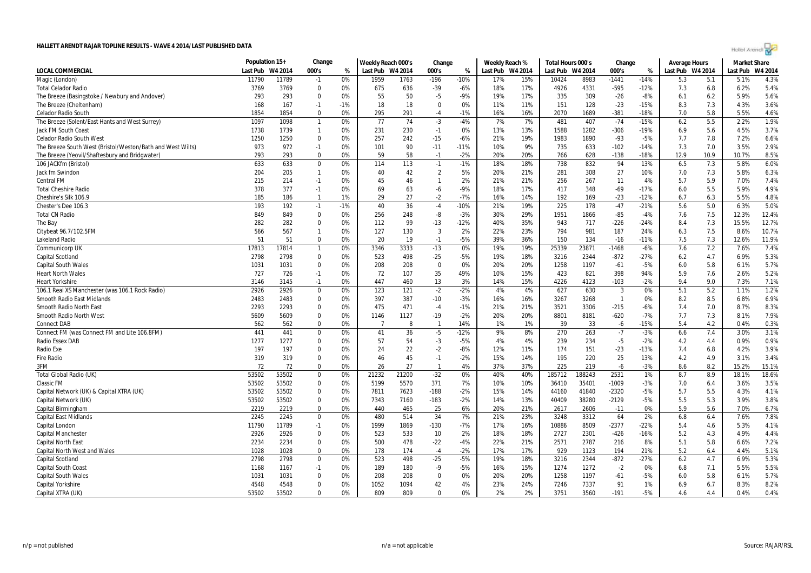|                                                            | Population 15+ |         | Change         |       | Weekly Reach 000's |       | Change         |        | Weekly Reach %   |     | Total Hours 000's |         | Change       |        | Average Hours    |      | <b>Market Share</b> |         |
|------------------------------------------------------------|----------------|---------|----------------|-------|--------------------|-------|----------------|--------|------------------|-----|-------------------|---------|--------------|--------|------------------|------|---------------------|---------|
| <b>LOCAL COMMERCIAL</b>                                    | Last Pub       | W4 2014 | 000's          | %     | Last Pub W4 2014   |       | 000's          | %      | Last Pub W4 2014 |     | Last Pub          | W4 2014 | 000's        | %      | Last Pub W4 2014 |      | Last Pub            | W4 2014 |
| Magic (London)                                             | 11790          | 11789   | $-1$           | 0%    | 1959               | 1763  | $-196$         | $-10%$ | 17%              | 15% | 10424             | 8983    | $-1441$      | $-14%$ | 5.3              | 5.1  | 5.1%                | 4.3%    |
| Total Celador Radio                                        | 3769           | 3769    | $\mathbf 0$    | 0%    | 675                | 636   | $-39$          | $-6%$  | 18%              | 17% | 4926              | 4331    | $-595$       | $-12%$ | 7.3              | 6.8  | 6.2%                | 5.4%    |
| The Breeze (Basingstoke / Newbury and Andover)             | 293            | 293     | $\mathbf 0$    | 0%    | 55                 | 50    | $-5$           | $-9%$  | 19%              | 17% | 335               | 309     | $-26$        | $-8%$  | 6.1              | 6.2  | 5.9%                | 5.6%    |
| The Breeze (Cheltenham)                                    | 168            | 167     | $-1$           | $-1%$ | 18                 | 18    | $\mathbf 0$    | 0%     | 11%              | 11% | 151               | 128     | $-23$        | $-15%$ | 8.3              | 7.3  | 4.3%                | 3.6%    |
| Celador Radio South                                        | 1854           | 1854    | $\mathbf 0$    | 0%    | 295                | 291   | -4             | $-1%$  | 16%              | 16% | 2070              | 1689    | $-381$       | $-18%$ | 7.0              | 5.8  | 5.5%                | 4.6%    |
| The Breeze (Solent/East Hants and West Surrey)             | 1097           | 1098    | $\overline{1}$ | 0%    | 77                 | 74    | $-3$           | $-4%$  | 7%               | 7%  | 481               | 407     | $-74$        | $-15%$ | 6.2              | 5.5  | 2.2%                | 1.9%    |
| Jack FM South Coast                                        | 1738           | 1739    | $\overline{1}$ | 0%    | 231                | 230   | $-1$           | 0%     | 13%              | 13% | 1588              | 1282    | $-306$       | $-19%$ | 6.9              | 5.6  | 4.5%                | 3.7%    |
| Celador Radio South West                                   | 1250           | 1250    | $\Omega$       | 0%    | 257                | 242   | $-15$          | $-6%$  | 21%              | 19% | 1983              | 1890    | $-93$        | $-5%$  | 7.7              | 7.8  | 7.2%                | 6.6%    |
| The Breeze South West (Bristol/Weston/Bath and West Wilts) | 973            | 972     | $-1$           | 0%    | 101                | 90    | $-11$          | $-11%$ | 10%              | 9%  | 735               | 633     | $-102$       | $-14%$ | 7.3              | 7.0  | 3.5%                | 2.9%    |
| The Breeze (Yeovil/Shaftesbury and Bridgwater)             | 293            | 293     | $\mathbf 0$    | 0%    | 59                 | 58    | $-1$           | $-2%$  | 20%              | 20% | 766               | 628     | $-138$       | $-18%$ | 12.9             | 10.9 | 10.7%               | 8.5%    |
| 106 JACKfm (Bristol)                                       | 633            | 633     | $\mathbf 0$    | 0%    | 114                | 113   | $-1$           | $-1%$  | 18%              | 18% | 738               | 832     | 94           | 13%    | 6.5              | 7.3  | 5.8%                | 6.0%    |
| Jack fm Swindon                                            | 204            | 205     | $\overline{1}$ | 0%    | 40                 | 42    | $\overline{2}$ | 5%     | 20%              | 21% | 281               | 308     | 27           | 10%    | 7.0              | 7.3  | 5.8%                | 6.3%    |
| Central FM                                                 | 215            | 214     | $-1$           | 0%    | 45                 | 46    | $\mathbf{1}$   | 2%     | 21%              | 21% | 256               | 267     | 11           | 4%     | 5.7              | 5.9  | 7.0%                | 7.4%    |
| <b>Total Cheshire Radio</b>                                | 378            | 377     | $-1$           | 0%    | 69                 | 63    | -6             | $-9%$  | 18%              | 17% | 417               | 348     | -69          | $-17%$ | 6.0              | 5.5  | 5.9%                | 4.9%    |
| Cheshire's Silk 106.9                                      | 185            | 186     | $\overline{1}$ | 1%    | 29                 | 27    | $-2$           | $-7%$  | 16%              | 14% | 192               | 169     | $-23$        | $-12%$ | 6.7              | 6.3  | 5.5%                | 4.8%    |
| Chester's Dee 106.3                                        | 193            | 192     | $-1$           | $-1%$ | 40                 | 36    | $-4$           | $-10%$ | 21%              | 19% | 225               | 178     | $-47$        | $-21%$ | 5.6              | 5.0  | 6.3%                | 5.0%    |
| <b>Total CN Radio</b>                                      | 849            | 849     | $\Omega$       | 0%    | 256                | 248   | -8             | $-3%$  | 30%              | 29% | 1951              | 1866    | $-85$        | $-4%$  | 7.6              | 7.5  | 12.3%               | 12.4%   |
| The Bay                                                    | 282            | 282     | $\mathbf{0}$   | 0%    | 112                | 99    | $-13$          | $-12%$ | 40%              | 35% | 943               | 717     | $-226$       | $-24%$ | 8.4              | 7.3  | 15.5%               | 12.7%   |
| Citybeat 96.7/102.5FM                                      | 566            | 567     | $\mathbf{1}$   | 0%    | 127                | 130   | 3              | 2%     | 22%              | 23% | 794               | 981     | 187          | 24%    | 6.3              | 7.5  | 8.6%                | 10.7%   |
| Lakeland Radio                                             | 51             | 51      | $\Omega$       | 0%    | 20                 | 19    | $-1$           | $-5%$  | 39%              | 36% | 150               | 134     | $-16$        | $-11%$ | 7.5              | 7.3  | 12.6%               | 11.9%   |
| Communicorp UK                                             | 17813          | 17814   | $\overline{1}$ | 0%    | 3346               | 3333  | $-13$          | 0%     | 19%              | 19% | 25339             | 23871   | $-1468$      | $-6%$  | 7.6              | 7.2  | 7.6%                | 7.4%    |
| Capital Scotland                                           | 2798           | 2798    | 0              | 0%    | 523                | 498   | $-25$          | $-5%$  | 19%              | 18% | 3216              | 2344    | $-872$       | $-27%$ | 6.2              | 4.7  | 6.9%                | 5.3%    |
| <b>Capital South Wales</b>                                 | 1031           | 1031    | $\Omega$       | 0%    | 208                | 208   | $\mathbf{0}$   | 0%     | 20%              | 20% | 1258              | 1197    | $-61$        | $-5%$  | 6.0              | 5.8  | 6.1%                | 5.7%    |
| <b>Heart North Wales</b>                                   | 727            | 726     | $-1$           | 0%    | 72                 | 107   | 35             | 49%    | 10%              | 15% | 423               | 821     | 398          | 94%    | 5.9              | 7.6  | 2.6%                | 5.2%    |
| <b>Heart Yorkshire</b>                                     | 3146           | 3145    | $-1$           | 0%    | 447                | 460   | 13             | 3%     | 14%              | 15% | 4226              | 4123    | $-103$       | $-2%$  | 9.4              | 9.0  | 7.3%                | 7.1%    |
| 106.1 Real XS Manchester (was 106.1 Rock Radio)            | 2926           | 2926    | $\mathbf 0$    | 0%    | 123                | 121   | $-2$           | $-2%$  | 4%               | 4%  | 627               | 630     | 3            | 0%     | 5.1              | 5.2  | 1.1%                | 1.2%    |
| Smooth Radio East Midlands                                 | 2483           | 2483    | 0              | 0%    | 397                | 387   | $-10$          | $-3%$  | 16%              | 16% | 3267              | 3268    | $\mathbf{1}$ | 0%     | 8.2              | 8.5  | 6.8%                | 6.9%    |
| Smooth Radio North East                                    | 2293           | 2293    | $\mathbf 0$    | 0%    | 475                | 471   | $-4$           | $-1%$  | 21%              | 21% | 3521              | 3306    | -215         | $-6%$  | 7.4              | 7.0  | 8.7%                | 8.3%    |
| Smooth Radio North West                                    | 5609           | 5609    | $\mathbf 0$    | 0%    | 1146               | 1127  | $-19$          | $-2%$  | 20%              | 20% | 8801              | 8181    | $-620$       | $-7%$  | 7.7              | 7.3  | 8.1%                | 7.9%    |
| <b>Connect DAB</b>                                         | 562            | 562     | $\mathbf 0$    | 0%    | -7                 | 8     | $\overline{1}$ | 14%    | 1%               | 1%  | 39                | 33      | -6           | $-15%$ | 5.4              | 4.2  | 0.4%                | 0.3%    |
| Connect FM (was Connect FM and Lite 106.8FM)               | 441            | 441     | $\mathbf 0$    | 0%    | 41                 | 36    | $-5$           | $-12%$ | 9%               | 8%  | 270               | 263     | $-7$         | $-3%$  | 6.6              | 7.4  | 3.0%                | 3.1%    |
| Radio Essex DAB                                            | 1277           | 1277    | $\mathbf 0$    | 0%    | 57                 | 54    | $-3$           | $-5%$  | 4%               | 4%  | 239               | 234     | $-5$         | $-2%$  | 4.2              | 4.4  | 0.9%                | 0.9%    |
| Radio Exe                                                  | 197            | 197     | $\mathbf 0$    | 0%    | 24                 | 22    | $-2$           | $-8%$  | 12%              | 11% | 174               | 151     | $-23$        | $-13%$ | 7.4              | 6.8  | 4.2%                | 3.9%    |
| Fire Radio                                                 | 319            | 319     | $\mathbf 0$    | 0%    | 46                 | 45    | $-1$           | $-2%$  | 15%              | 14% | 195               | 220     | 25           | 13%    | 4.2              | 4.9  | 3.1%                | 3.4%    |
| 3FM                                                        | 72             | 72      | $\mathbf 0$    | 0%    | 26                 | 27    | $\mathbf{1}$   | 4%     | 37%              | 37% | 225               | 219     | -6           | $-3%$  | 8.6              | 8.2  | 15.2%               | 15.1%   |
| Total Global Radio (UK)                                    | 53502          | 53502   | 0              | 0%    | 21232              | 21200 | $-32$          | 0%     | 40%              | 40% | 185712            | 188243  | 2531         | 1%     | 8.7              | 8.9  | 18.1%               | 18.6%   |
| Classic FM                                                 | 53502          | 53502   | $\mathbf 0$    | 0%    | 5199               | 5570  | 371            | 7%     | 10%              | 10% | 36410             | 35401   | -1009        | $-3%$  | 7.0              | 6.4  | 3.6%                | 3.5%    |
| Capital Network (UK) & Capital XTRA (UK)                   | 53502          | 53502   | $\mathbf 0$    | 0%    | 7811               | 7623  | $-188$         | $-2%$  | 15%              | 14% | 44160             | 41840   | $-2320$      | $-5%$  | 5.7              | 5.5  | 4.3%                | 4.1%    |
| Capital Network (UK)                                       | 53502          | 53502   | $\mathbf 0$    | 0%    | 7343               | 7160  | $-183$         | $-2%$  | 14%              | 13% | 40409             | 38280   | $-2129$      | $-5%$  | 5.5              | 5.3  | 3.9%                | 3.8%    |
| Capital Birmingham                                         | 2219           | 2219    | $\mathbf 0$    | 0%    | 440                | 465   | 25             | 6%     | 20%              | 21% | 2617              | 2606    | $-11$        | 0%     | 5.9              | 5.6  | 7.0%                | 6.7%    |
| <b>Capital East Midlands</b>                               | 2245           | 2245    | $\mathbf{0}$   | 0%    | 480                | 514   | 34             | 7%     | 21%              | 23% | 3248              | 3312    | 64           | 2%     | 6.8              | 6.4  | 7.6%                | 7.8%    |
| Capital London                                             | 11790          | 11789   | $-1$           | 0%    | 1999               | 1869  | $-130$         | $-7%$  | 17%              | 16% | 10886             | 8509    | $-2377$      | $-22%$ | 5.4              | 4.6  | 5.3%                | 4.1%    |
| Capital Manchester                                         | 2926           | 2926    | 0              | 0%    | 523                | 533   | 10             | 2%     | 18%              | 18% | 2727              | 2301    | $-426$       | $-16%$ | 5.2              | 4.3  | 4.9%                | 4.4%    |
| Capital North East                                         | 2234           | 2234    | $\mathbf 0$    | 0%    | 500                | 478   | $-22$          | $-4%$  | 22%              | 21% | 2571              | 2787    | 216          | 8%     | 5.1              | 5.8  | 6.6%                | 7.2%    |
| Capital North West and Wales                               | 1028           | 1028    | $\Omega$       | 0%    | 178                | 174   | $-4$           | $-2%$  | 17%              | 17% | 929               | 1123    | 194          | 21%    | 5.2              | 6.4  | 4.4%                | 5.1%    |
| Capital Scotland                                           | 2798           | 2798    | $\mathbf 0$    | 0%    | 523                | 498   | $-25$          | $-5%$  | 19%              | 18% | 3216              | 2344    | $-872$       | $-27%$ | 6.2              | 4.7  | 6.9%                | 5.3%    |
| Capital South Coast                                        | 1168           | 1167    | $-1$           | 0%    | 189                | 180   | -9             | $-5%$  | 16%              | 15% | 1274              | 1272    | $-2$         | 0%     | 6.8              | 7.1  | 5.5%                | 5.5%    |
| Capital South Wales                                        | 1031           | 1031    | $\mathbf 0$    | 0%    | 208                | 208   | 0              | 0%     | 20%              | 20% | 1258              | 1197    | $-61$        | $-5%$  | 6.0              | 5.8  | 6.1%                | 5.7%    |
| Capital Yorkshire                                          | 4548           | 4548    | $\mathbf 0$    | 0%    | 1052               | 1094  | 42             | 4%     | 23%              | 24% | 7246              | 7337    | 91           | 1%     | 6.9              | 6.7  | 8.3%                | 8.2%    |
| Capital XTRA (UK)                                          | 53502          | 53502   | $\Omega$       | 0%    | 809                | 809   | $\Omega$       | 0%     | 2%               | 2%  | 3751              | 3560    | $-191$       | $-5%$  | 4.6              | 4.4  | 0.4%                | 0.4%    |
|                                                            |                |         |                |       |                    |       |                |        |                  |     |                   |         |              |        |                  |      |                     |         |

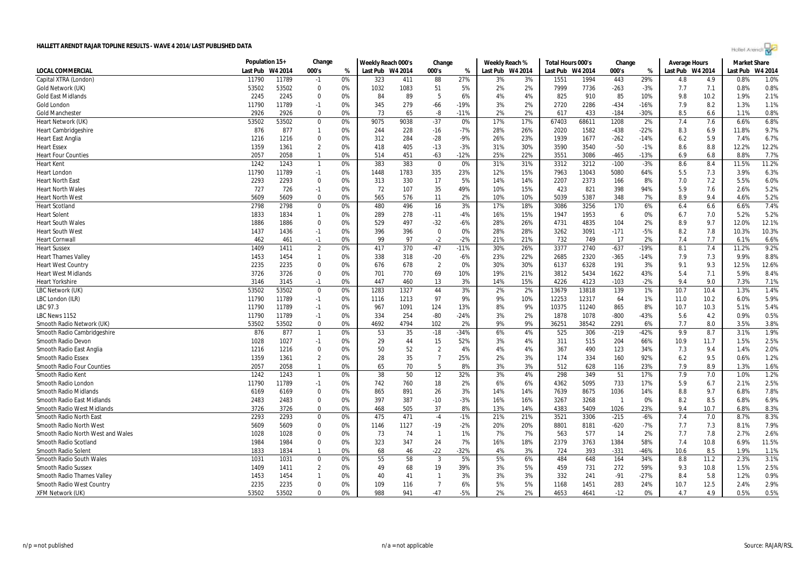| Hollet Arendi |  |
|---------------|--|

|                                   | Population 15+ |         | Change         |    | Weekly Reach 000's |      | Change         |        | Weekly Reach % |                  | Total Hours 000's |       | Change         |        | <b>Average Hours</b> |      | <b>Market Share</b> |         |
|-----------------------------------|----------------|---------|----------------|----|--------------------|------|----------------|--------|----------------|------------------|-------------------|-------|----------------|--------|----------------------|------|---------------------|---------|
| <b>LOCAL COMMERCIAL</b>           | Last Pub       | W4 2014 | 000's          | %  | Last Pub W4 2014   |      | 000's          | %      |                | Last Pub W4 2014 | Last Pub W4 2014  |       | 000's          | %      | Last Pub W4 2014     |      | Last Pub            | W4 2014 |
| Capital XTRA (London)             | 11790          | 11789   | $-1$           | 0% | 323                | 411  | 88             | 27%    | 3%             | 3%               | 1551              | 1994  | 443            | 29%    | 4.8                  | 4.9  | 0.8%                | 1.0%    |
| Gold Network (UK)                 | 53502          | 53502   | $\Omega$       | 0% | 1032               | 1083 | 51             | 5%     | 2%             | 2%               | 7999              | 7736  | $-263$         | $-3%$  | 7.7                  | 7.1  | 0.8%                | 0.8%    |
| <b>Gold East Midlands</b>         | 2245           | 2245    | $\Omega$       | 0% | 84                 | 89   | 5              | 6%     | 4%             | 4%               | 825               | 910   | 85             | 10%    | 9.8                  | 10.2 | 1.9%                | 2.1%    |
| Gold London                       | 11790          | 11789   | $-1$           | 0% | 345                | 279  | $-66$          | $-19%$ | 3%             | 2%               | 2720              | 2286  | $-434$         | $-16%$ | 7.9                  | 8.2  | 1.3%                | 1.1%    |
| <b>Gold Manchester</b>            | 2926           | 2926    | $\Omega$       | 0% | 73                 | 65   | -8             | $-11%$ | 2%             | 2%               | 617               | 433   | -184           | -30%   | 8.5                  | 6.6  | 1.1%                | 0.8%    |
| Heart Network (UK)                | 53502          | 53502   | $\mathbf 0$    | 0% | 9075               | 9038 | $-37$          | 0%     | 17%            | 17%              | 67403             | 68611 | 1208           | 2%     | 7.4                  | 7.6  | 6.6%                | 6.8%    |
| <b>Heart Cambridgeshire</b>       | 876            | 877     | $\mathbf{1}$   | 0% | 244                | 228  | $-16$          | $-7%$  | 28%            | 26%              | 2020              | 1582  | $-438$         | $-22%$ | 8.3                  | 6.9  | 11.8%               | 9.7%    |
| <b>Heart East Anglia</b>          | 1216           | 1216    | $\mathbf 0$    | 0% | 312                | 284  | $-28$          | $-9%$  | 26%            | 23%              | 1939              | 1677  | $-262$         | $-14%$ | 6.2                  | 5.9  | 7.4%                | 6.7%    |
| Heart Essex                       | 1359           | 1361    | 2              | 0% | 418                | 405  | $-13$          | $-3%$  | 31%            | 30%              | 3590              | 3540  | $-50$          | $-1%$  | 8.6                  | 8.8  | 12.2%               | 12.2%   |
| <b>Heart Four Counties</b>        | 2057           | 2058    | $\mathbf{1}$   | 0% | 514                | 451  | $-63$          | $-12%$ | 25%            | 22%              | 3551              | 3086  | $-465$         | $-13%$ | 6.9                  | 6.8  | 8.8%                | 7.7%    |
| <b>Heart Kent</b>                 | 1242           | 1243    | $\mathbf{1}$   | 0% | 383                | 383  | 0              | 0%     | 31%            | 31%              | 3312              | 3212  | $-100$         | $-3%$  | 8.6                  | 8.4  | 11.5%               | 11.2%   |
| <b>Heart London</b>               | 11790          | 11789   | $-1$           | 0% | 1448               | 1783 | 335            | 23%    | 12%            | 15%              | 7963              | 13043 | 5080           | 64%    | 5.5                  | 7.3  | 3.9%                | 6.3%    |
| <b>Heart North East</b>           | 2293           | 2293    | $\Omega$       | 0% | 313                | 330  | 17             | 5%     | 14%            | 14%              | 2207              | 2373  | 166            | 8%     | 7.0                  | 7.2  | 5.5%                | 6.0%    |
| <b>Heart North Wales</b>          | 727            | 726     | $-1$           | 0% | 72                 | 107  | 35             | 49%    | 10%            | 15%              | 423               | 821   | 398            | 94%    | 5.9                  | 7.6  | 2.6%                | 5.2%    |
| <b>Heart North West</b>           | 5609           | 5609    | $\mathbf 0$    | 0% | 565                | 576  | 11             | 2%     | 10%            | 10%              | 5039              | 5387  | 348            | 7%     | 8.9                  | 9.4  | 4.6%                | 5.2%    |
| <b>Heart Scotland</b>             | 2798           | 2798    | $\mathbf 0$    | 0% | 480                | 496  | 16             | 3%     | 17%            | 18%              | 3086              | 3256  | 170            | 6%     | 6.4                  | 6.6  | 6.6%                | 7.4%    |
| <b>Heart Solent</b>               | 1833           | 1834    | $\mathbf{1}$   | 0% | 289                | 278  | $-11$          | $-4%$  | 16%            | 15%              | 1947              | 1953  | 6              | 0%     | 6.7                  | 7.0  | 5.2%                | 5.2%    |
| Heart South Wales                 | 1886           | 1886    | $\Omega$       | 0% | 529                | 497  | $-32$          | -6%    | 28%            | 26%              | 4731              | 4835  | 104            | 2%     | 8.9                  | 9.7  | 12.0%               | 12.1%   |
| <b>Heart South West</b>           | 1437           | 1436    | $-1$           | 0% | 396                | 396  | $\mathbf 0$    | 0%     | 28%            | 28%              | 3262              | 3091  | $-171$         | $-5%$  | 8.2                  | 7.8  | 10.3%               | 10.3%   |
| <b>Heart Cornwall</b>             | 462            | 461     | $-1$           | 0% | 99                 | 97   | $-2$           | $-2%$  | 21%            | 21%              | 732               | 749   | 17             | 2%     | 7.4                  | 7.7  | 6.1%                | 6.6%    |
| <b>Heart Sussex</b>               | 1409           | 1411    | $\overline{2}$ | 0% | 417                | 370  | $-47$          | $-11%$ | 30%            | 26%              | 3377              | 2740  | $-637$         | $-19%$ | 8.1                  | 7.4  | 11.2%               | 9.2%    |
| <b>Heart Thames Valley</b>        | 1453           | 1454    | $\mathbf{1}$   | 0% | 338                | 318  | $-20$          | $-6%$  | 23%            | 22%              | 2685              | 2320  | $-365$         | $-14%$ | 7.9                  | 7.3  | 9.9%                | 8.8%    |
| <b>Heart West Country</b>         | 2235           | 2235    | $\mathbf 0$    | 0% | 676                | 678  | $\overline{2}$ | 0%     | 30%            | 30%              | 6137              | 6328  | 191            | 3%     | 9.1                  | 9.3  | 12.5%               | 12.6%   |
| <b>Heart West Midlands</b>        | 3726           | 3726    | $\Omega$       | 0% | 701                | 770  | 69             | 10%    | 19%            | 21%              | 3812              | 5434  | 1622           | 43%    | 5.4                  | 7.1  | 5.9%                | 8.4%    |
| <b>Heart Yorkshire</b>            | 3146           | 3145    | $-1$           | 0% | 447                | 460  | 13             | 3%     | 14%            | 15%              | 4226              | 4123  | $-103$         | $-2%$  | 9.4                  | 9.0  | 7.3%                | 7.1%    |
| LBC Network (UK)                  | 53502          | 53502   | $\Omega$       | 0% | 1283               | 1327 | 44             | 3%     | 2%             | 2%               | 13679             | 13818 | 139            | 1%     | 10.7                 | 10.4 | 1.3%                | 1.4%    |
| LBC London (ILR)                  | 11790          | 11789   | $-1$           | 0% | 1116               | 1213 | 97             | 9%     | 9%             | 10%              | 12253             | 12317 | 64             | 1%     | 11.0                 | 10.2 | 6.0%                | 5.9%    |
| LBC 97.3                          | 11790          | 11789   | $-1$           | 0% | 967                | 1091 | 124            | 13%    | 8%             | 9%               | 10375             | 11240 | 865            | 8%     | 10.7                 | 10.3 | 5.1%                | 5.4%    |
| LBC News 1152                     | 11790          | 11789   | $-1$           | 0% | 334                | 254  | $-80$          | $-24%$ | 3%             | 2%               | 1878              | 1078  | $-800$         | -43%   | 5.6                  | 4.2  | 0.9%                | 0.5%    |
| Smooth Radio Network (UK)         | 53502          | 53502   | $\mathbf 0$    | 0% | 4692               | 4794 | 102            | 2%     | 9%             | 9%               | 36251             | 38542 | 2291           | 6%     | 7.7                  | 8.0  | 3.5%                | 3.8%    |
| Smooth Radio Cambridgeshire       | 876            | 877     | $\mathbf{1}$   | 0% | 53                 | 35   | $-18$          | $-34%$ | 6%             | 4%               | 525               | 306   | $-219$         | $-42%$ | 9.9                  | 8.7  | 3.1%                | 1.9%    |
| Smooth Radio Devon                | 1028           | 1027    | $-1$           | 0% | 29                 | 44   | 15             | 52%    | 3%             | 4%               | 311               | 515   | 204            | 66%    | 10.9                 | 11.7 | 1.5%                | 2.5%    |
| Smooth Radio East Anglia          | 1216           | 1216    | $\Omega$       | 0% | 50                 | 52   | $\overline{2}$ | 4%     | 4%             | 4%               | 367               | 490   | 123            | 34%    | 7.3                  | 9.4  | 1.4%                | 2.0%    |
| <b>Smooth Radio Essex</b>         | 1359           | 1361    | 2              | 0% | 28                 | 35   | $\overline{7}$ | 25%    | 2%             | 3%               | 174               | 334   | 160            | 92%    | 6.2                  | 9.5  | 0.6%                | 1.2%    |
| <b>Smooth Radio Four Counties</b> | 2057           | 2058    | $\mathbf{1}$   | 0% | 65                 | 70   | 5              | 8%     | 3%             | 3%               | 512               | 628   | 116            | 23%    | 7.9                  | 8.9  | 1.3%                | 1.6%    |
| Smooth Radio Kent                 | 1242           | 1243    | $\mathbf{1}$   | 0% | 38                 | 50   | 12             | 32%    | 3%             | 4%               | 298               | 349   | 51             | 17%    | 7.9                  | 7.0  | 1.0%                | 1.2%    |
| Smooth Radio London               | 11790          | 11789   | $-1$           | 0% | 742                | 760  | 18             | 2%     | 6%             | 6%               | 4362              | 5095  | 733            | 17%    | 5.9                  | 6.7  | 2.1%                | 2.5%    |
| <b>Smooth Radio Midlands</b>      | 6169           | 6169    | $\Omega$       | 0% | 865                | 891  | 26             | 3%     | 14%            | 14%              | 7639              | 8675  | 1036           | 14%    | 8.8                  | 9.7  | 6.8%                | 7.8%    |
| Smooth Radio East Midlands        | 2483           | 2483    | $\Omega$       | 0% | 397                | 387  | $-10$          | $-3%$  | 16%            | 16%              | 3267              | 3268  | $\overline{1}$ | 0%     | 8.2                  | 8.5  | 6.8%                | 6.9%    |
| <b>Smooth Radio West Midlands</b> | 3726           | 3726    | $\mathbf 0$    | 0% | 468                | 505  | 37             | 8%     | 13%            | 14%              | 4383              | 5409  | 1026           | 23%    | 9.4                  | 10.7 | 6.8%                | 8.3%    |
| Smooth Radio North East           | 2293           | 2293    | $\mathbf 0$    | 0% | 475                | 471  | $-4$           | $-1%$  | 21%            | 21%              | 3521              | 3306  | $-215$         | $-6%$  | 7.4                  | 7.0  | 8.7%                | 8.3%    |
| Smooth Radio North West           | 5609           | 5609    | $\Omega$       | 0% | 1146               | 1127 | $-19$          | $-2%$  | 20%            | 20%              | 8801              | 8181  | $-620$         | -7%    | 7.7                  | 7.3  | 8.1%                | 7.9%    |
| Smooth Radio North West and Wales | 1028           | 1028    | $\Omega$       | 0% | 73                 | 74   | $\mathbf{1}$   | 1%     | 7%             | 7%               | 563               | 577   | 14             | 2%     | 7.7                  | 7.8  | 2.7%                | 2.6%    |
| Smooth Radio Scotland             | 1984           | 1984    | $\Omega$       | 0% | 323                | 347  | 24             | 7%     | 16%            | 18%              | 2379              | 3763  | 1384           | 58%    | 7.4                  | 10.8 | 6.9%                | 11.5%   |
| Smooth Radio Solent               | 1833           | 1834    | -1             | 0% | 68                 | 46   | $-22$          | $-32%$ | 4%             | 3%               | 724               | 393   | $-331$         | -46%   | 10.6                 | 8.5  | 1.9%                | 1.1%    |
| Smooth Radio South Wales          | 1031           | 1031    | $\mathbf 0$    | 0% | 55                 | 58   | 3              | 5%     | 5%             | 6%               | 484               | 648   | 164            | 34%    | 8.8                  | 11.2 | 2.3%                | 3.1%    |
| <b>Smooth Radio Sussex</b>        | 1409           | 1411    | $\overline{2}$ | 0% | 49                 | 68   | 19             | 39%    | 3%             | 5%               | 459               | 731   | 272            | 59%    | 9.3                  | 10.8 | 1.5%                | 2.5%    |
| Smooth Radio Thames Valley        | 1453           | 1454    |                | 0% | 40                 | 41   | -1             | 3%     | 3%             | 3%               | 332               | 241   | $-91$          | $-27%$ | 8.4                  | 5.8  | 1.2%                | 0.9%    |
| Smooth Radio West Country         | 2235           | 2235    | $\Omega$       | 0% | 109                | 116  | $\overline{7}$ | 6%     | 5%             | 5%               | 1168              | 1451  | 283            | 24%    | 10.7                 | 12.5 | 2.4%                | 2.9%    |
| <b>XFM Network (UK)</b>           | 53502          | 53502   | $\Omega$       | 0% | 988                | 941  | $-47$          | $-5%$  | 2%             | 2%               | 4653              | 4641  | $-12$          | 0%     | 4.7                  | 49   | 0.5%                | 0.5%    |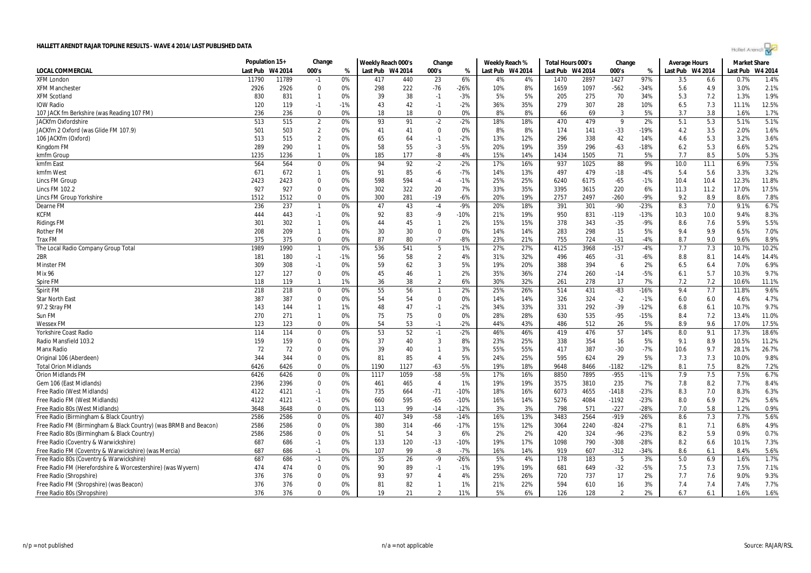|                                                                  | Population 15+ |         | Change         |       | Weekly Reach 000's |      | Change         |        | Weekly Reach % |                  | Total Hours 000's |      | Change         |        | <b>Average Hours</b> |      | <b>Market Share</b> |       |
|------------------------------------------------------------------|----------------|---------|----------------|-------|--------------------|------|----------------|--------|----------------|------------------|-------------------|------|----------------|--------|----------------------|------|---------------------|-------|
| LOCAL COMMERCIAL                                                 | Last Pub       | W4 2014 | 000's          | %     | Last Pub W4 2014   |      | 000's          | %      |                | Last Pub W4 2014 | Last Pub W4 2014  |      | 000's          | %      | Last Pub W4 2014     |      | Last Pub W4 2014    |       |
| <b>XFM London</b>                                                | 11790          | 11789   | $-1$           | 0%    | 417                | 440  | 23             | 6%     | 4%             | 4%               | 1470              | 2897 | 1427           | 97%    | 3.5                  | 6.6  | 0.7%                | 1.4%  |
| XFM Manchester                                                   | 2926           | 2926    | 0              | 0%    | 298                | 222  | -76            | -26%   | 10%            | 8%               | 1659              | 1097 | $-562$         | $-34%$ | 5.6                  | 4.9  | 3.0%                | 2.1%  |
| XFM Scotland                                                     | 830            | 831     | $\mathbf{1}$   | 0%    | 39                 | 38   | $-1$           | $-3%$  | 5%             | 5%               | 205               | 275  | 70             | 34%    | 5.3                  | 7.2  | 1.3%                | 1.9%  |
| <b>IOW Radio</b>                                                 | 120            | 119     | $-1$           | $-1%$ | 43                 | 42   | $-1$           | $-2%$  | 36%            | 35%              | 279               | 307  | 28             | 10%    | 6.5                  | 7.3  | 11.1%               | 12.5% |
| 107 JACK fm Berkshire (was Reading 107 FM)                       | 236            | 236     | 0              | 0%    | 18                 | 18   | 0              | 0%     | 8%             | 8%               | 66                | 69   | 3              | 5%     | 3.7                  | 3.8  | 1.6%                | 1.7%  |
| JACKfm Oxfordshire                                               | 513            | 515     | $\overline{2}$ | 0%    | 93                 | 91   | $-2$           | $-2%$  | 18%            | 18%              | 470               | 479  | 9              | 2%     | 5.1                  | 5.3  | 5.1%                | 5.1%  |
| JACKfm 2 Oxford (was Glide FM 107.9)                             | 501            | 503     | $\overline{2}$ | 0%    | 41                 | 41   | $\mathbf 0$    | 0%     | 8%             | 8%               | 174               | 141  | $-33$          | $-19%$ | 4.2                  | 3.5  | 2.0%                | 1.6%  |
| 106 JACKfm (Oxford)                                              | 513            | 515     | $\overline{2}$ | 0%    | 65                 | 64   | $-1$           | $-2%$  | 13%            | 12%              | 296               | 338  | 42             | 14%    | 4.6                  | 5.3  | 3.2%                | 3.6%  |
| Kingdom FM                                                       | 289            | 290     | $\mathbf{1}$   | 0%    | 58                 | 55   | $-3$           | $-5%$  | 20%            | 19%              | 359               | 296  | $-63$          | $-18%$ | 6.2                  | 5.3  | 6.6%                | 5.2%  |
| kmfm Group                                                       | 1235           | 1236    | $\mathbf{1}$   | 0%    | 185                | 177  | -8             | $-4%$  | 15%            | 14%              | 1434              | 1505 | 71             | 5%     | 7.7                  | 8.5  | 5.0%                | 5.3%  |
| kmfm East                                                        | 564            | 564     | 0              | 0%    | 94                 | 92   | $-2$           | $-2%$  | 17%            | 16%              | 937               | 1025 | 88             | 9%     | 10.0                 | 11.1 | 6.9%                | 7.5%  |
| kmfm West                                                        | 671            | 672     | $\mathbf{1}$   | 0%    | 91                 | 85   | -6             | $-7%$  | 14%            | 13%              | 497               | 479  | $-18$          | $-4%$  | 5.4                  | 5.6  | 3.3%                | 3.2%  |
| <b>Lincs FM Group</b>                                            | 2423           | 2423    | $\mathbf 0$    | 0%    | 598                | 594  | $-4$           | $-1%$  | 25%            | 25%              | 6240              | 6175 | $-65$          | $-1%$  | 10.4                 | 10.4 | 12.3%               | 11.8% |
| Lincs FM 102.2                                                   | 927            | 927     | 0              | 0%    | 302                | 322  | 20             | 7%     | 33%            | 35%              | 3395              | 3615 | 220            | 6%     | 11.3                 | 11.2 | 17.0%               | 17.5% |
| Lincs FM Group Yorkshire                                         | 1512           | 1512    | 0              | 0%    | 300                | 281  | $-19$          | $-6%$  | 20%            | 19%              | 2757              | 2497 | $-260$         | $-9%$  | 9.2                  | 8.9  | 8.6%                | 7.8%  |
| Dearne FM                                                        | 236            | 237     | $\mathbf{1}$   | 0%    | 47                 | 43   | $-4$           | $-9%$  | 20%            | 18%              | 391               | 301  | $-90$          | $-23%$ | 8.3                  | 7.0  | 9.1%                | 6.7%  |
| <b>KCFM</b>                                                      | 444            | 443     | $-1$           | 0%    | 92                 | 83   | -9             | $-10%$ | 21%            | 19%              | 950               | 831  | $-119$         | $-13%$ | 10.3                 | 10.0 | 9.4%                | 8.3%  |
| <b>Ridings FM</b>                                                | 301            | 302     | $\mathbf{1}$   | 0%    | 44                 | 45   | $\mathbf{1}$   | 2%     | 15%            | 15%              | 378               | 343  | $-35$          | -9%    | 8.6                  | 7.6  | 5.9%                | 5.5%  |
| Rother FM                                                        | 208            | 209     | $\overline{1}$ | 0%    | 30                 | 30   | 0              | 0%     | 14%            | 14%              | 283               | 298  | 15             | 5%     | 9.4                  | 9.9  | 6.5%                | 7.0%  |
| <b>Trax FM</b>                                                   | 375            | 375     | 0              | 0%    | 87                 | 80   | $-7$           | $-8%$  | 23%            | 21%              | 755               | 724  | $-31$          | $-4%$  | 8.7                  | 9.0  | 9.6%                | 8.9%  |
| The Local Radio Company Group Total                              | 1989           | 1990    | $\overline{1}$ | 0%    | 536                | 541  | 5              | 1%     | 27%            | 27%              | 4125              | 3968 | $-157$         | -4%    | 7.7                  | 7.3  | 10.7%               | 10.2% |
| 2BR                                                              | 181            | 180     | $-1$           | $-1%$ | 56                 | 58   | $\overline{2}$ | 4%     | 31%            | 32%              | 496               | 465  | $-31$          | -6%    | 8.8                  | 8.1  | 14.4%               | 14.4% |
| Minster FM                                                       | 309            | 308     | $-1$           | 0%    | 59                 | 62   | 3              | 5%     | 19%            | 20%              | 388               | 394  | 6              | 2%     | 6.5                  | 6.4  | 7.0%                | 6.9%  |
| Mix 96                                                           | 127            | 127     | 0              | 0%    | 45                 | 46   | 1              | 2%     | 35%            | 36%              | 274               | 260  | $-14$          | -5%    | 6.1                  | 5.7  | 10.3%               | 9.7%  |
| Spire FM                                                         | 118            | 119     | $\mathbf{1}$   | 1%    | 36                 | 38   | $\overline{2}$ | 6%     | 30%            | 32%              | 261               | 278  | 17             | 7%     | 7.2                  | 7.2  | 10.6%               | 11.1% |
| Spirit FM                                                        | 218            | 218     | $\mathbf 0$    | 0%    | 55                 | 56   | $\overline{1}$ | 2%     | 25%            | 26%              | 514               | 431  | $-83$          | $-16%$ | 9.4                  | 7.7  | 11.8%               | 9.6%  |
| Star North East                                                  | 387            | 387     | 0              | 0%    | 54                 | 54   | 0              | 0%     | 14%            | 14%              | 326               | 324  | $-2$           | -1%    | 6.0                  | 6.0  | 4.6%                | 4.7%  |
| 97.2 Stray FM                                                    | 143            | 144     | $\mathbf{1}$   | 1%    | 48                 | 47   | $-1$           | $-2%$  | 34%            | 33%              | 331               | 292  | $-39$          | $-12%$ | 6.8                  | 6.1  | 10.7%               | 9.7%  |
| Sun FM                                                           | 270            | 271     | $\mathbf{1}$   | 0%    | 75                 | 75   | 0              | 0%     | 28%            | 28%              | 630               | 535  | $-95$          | $-15%$ | 8.4                  | 7.2  | 13.4%               | 11.0% |
| <b>Wessex FM</b>                                                 | 123            | 123     | 0              | 0%    | 54                 | 53   | $-1$           | $-2%$  | 44%            | 43%              | 486               | 512  | 26             | 5%     | 8.9                  | 9.6  | 17.0%               | 17.5% |
| Yorkshire Coast Radio                                            | 114            | 114     | $\mathbf 0$    | 0%    | 53                 | 52   | $-1$           | $-2%$  | 46%            | 46%              | 419               | 476  | 57             | 14%    | 8.0                  | 9.1  | 17.3%               | 18.6% |
| Radio Mansfield 103.2                                            | 159            | 159     | $\mathbf 0$    | 0%    | 37                 | 40   | 3              | 8%     | 23%            | 25%              | 338               | 354  | 16             | 5%     | 9.1                  | 8.9  | 10.5%               | 11.2% |
| Manx Radio                                                       | 72             | 72      | $\mathbf 0$    | 0%    | 39                 | 40   | $\mathbf{1}$   | 3%     | 55%            | 55%              | 417               | 387  | $-30$          | $-7%$  | 10.6                 | 9.7  | 28.1%               | 26.7% |
| Original 106 (Aberdeen)                                          | 344            | 344     | $\mathbf 0$    | 0%    | 81                 | 85   | $\overline{4}$ | 5%     | 24%            | 25%              | 595               | 624  | 29             | 5%     | 7.3                  | 7.3  | 10.0%               | 9.8%  |
| <b>Total Orion Midlands</b>                                      | 6426           | 6426    | $\mathbf 0$    | 0%    | 1190               | 1127 | $-63$          | $-5%$  | 19%            | 18%              | 9648              | 8466 | $-1182$        | $-12%$ | 8.1                  | 7.5  | 8.2%                | 7.2%  |
| <b>Orion Midlands FM</b>                                         | 6426           | 6426    | 0              | 0%    | 1117               | 1059 | $-58$          | $-5%$  | 17%            | 16%              | 8850              | 7895 | $-955$         | $-11%$ | 7.9                  | 7.5  | 7.5%                | 6.7%  |
| Gem 106 (East Midlands)                                          | 2396           | 2396    | $\mathbf 0$    | 0%    | 461                | 465  | $\overline{4}$ | 1%     | 19%            | 19%              | 3575              | 3810 | 235            | 7%     | 7.8                  | 8.2  | 7.7%                | 8.4%  |
| Free Radio (West Midlands)                                       | 4122           | 4121    | $-1$           | 0%    | 735                | 664  | $-71$          | $-10%$ | 18%            | 16%              | 6073              | 4655 | $-1418$        | $-23%$ | 8.3                  | 7.0  | 8.3%                | 6.3%  |
| Free Radio FM (West Midlands)                                    | 4122           | 4121    | $-1$           | 0%    | 660                | 595  | $-65$          | $-10%$ | 16%            | 14%              | 5276              | 4084 | $-1192$        | $-23%$ | 8.0                  | 6.9  | 7.2%                | 5.6%  |
| Free Radio 80s (West Midlands)                                   | 3648           | 3648    | $\mathbf 0$    | 0%    | 113                | 99   | $-14$          | $-12%$ | 3%             | 3%               | 798               | 571  | $-227$         | $-28%$ | 7.0                  | 5.8  | 1.2%                | 0.9%  |
| Free Radio (Birmingham & Black Country)                          | 2586           | 2586    | $\mathbf 0$    | 0%    | 407                | 349  | $-58$          | $-14%$ | 16%            | 13%              | 3483              | 2564 | $-919$         | $-26%$ | 8.6                  | 7.3  | 7.7%                | 5.6%  |
| Free Radio FM (Birmingham & Black Country) (was BRMB and Beacon) | 2586           | 2586    | 0              | 0%    | 380                | 314  | -66            | -17%   | 15%            | 12%              | 3064              | 2240 | $-824$         | $-27%$ | 8.1                  | 7.1  | 6.8%                | 4.9%  |
| Free Radio 80s (Birmingham & Black Country)                      | 2586           | 2586    | 0              | 0%    | 51                 | 54   | $\mathbf{3}$   | 6%     | 2%             | 2%               | 420               | 324  | -96            | $-23%$ | 8.2                  | 5.9  | 0.9%                | 0.7%  |
| Free Radio (Coventry & Warwickshire)                             | 687            | 686     | $-1$           | 0%    | 133                | 120  | $-13$          | $-10%$ | 19%            | 17%              | 1098              | 790  | $-308$         | $-28%$ | 8.2                  | 6.6  | 10.1%               | 7.3%  |
| Free Radio FM (Coventry & Warwickshire) (was Mercia)             | 687            | 686     | $-1$           | 0%    | 107                | 99   | -8             | $-7%$  | 16%            | 14%              | 919               | 607  | $-312$         | $-34%$ | 8.6                  | 6.1  | 8.4%                | 5.6%  |
| Free Radio 80s (Coventry & Warwickshire)                         | 687            | 686     | $-1$           | 0%    | 35                 | 26   | -9             | $-26%$ | 5%             | 4%               | 178               | 183  | 5              | 3%     | 5.0                  | 6.9  | 1.6%                | 1.7%  |
| Free Radio FM (Herefordshire & Worcestershire) (was Wyvern)      | 474            | 474     | $\mathbf 0$    | 0%    | 90                 | 89   | $-1$           | $-1%$  | 19%            | 19%              | 681               | 649  | $-32$          | -5%    | 7.5                  | 7.3  | 7.5%                | 7.1%  |
| Free Radio (Shropshire)                                          | 376            | 376     | $\mathbf 0$    | 0%    | 93                 | 97   | 4              | 4%     | 25%            | 26%              | 720               | 737  | 17             | 2%     | 7.7                  | 7.6  | 9.0%                | 9.3%  |
| Free Radio FM (Shropshire) (was Beacon)                          | 376            | 376     | $\mathbf 0$    | 0%    | 81                 | 82   | $\mathbf{1}$   | 1%     | 21%            | 22%              | 594               | 610  | 16             | 3%     | 7.4                  | 7.4  | 7.4%                | 7.7%  |
| Free Radio 80s (Shropshire)                                      | 376            | 376     | $\Omega$       | 0%    | 19                 | 21   | $\mathfrak{p}$ | 11%    | 5%             | 6%               | 126               | 128  | $\mathfrak{p}$ | 2%     | 6.7                  | 6.1  | 1.6%                | 1.6%  |

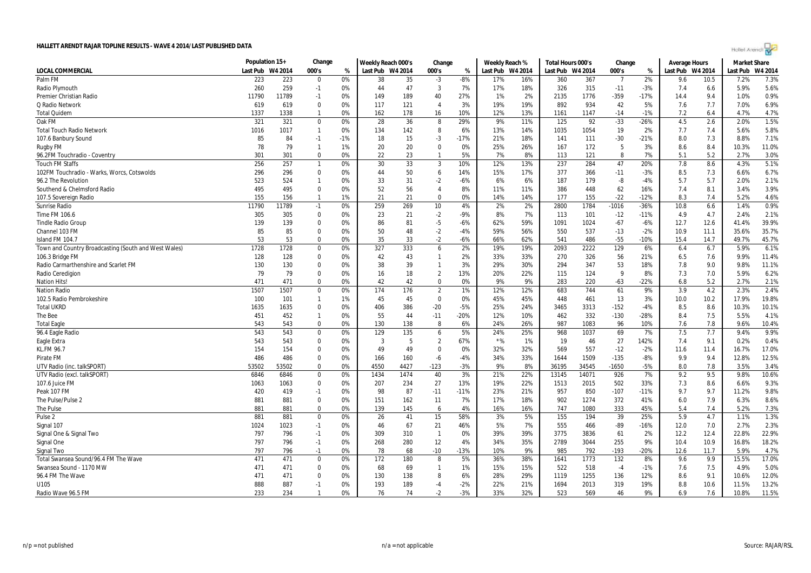| Hollel Arendi |  |
|---------------|--|
|---------------|--|

|                                                      | Population 15+<br>Change<br>Weekly Reach 000's<br>Change |       |              | Weekly Reach % |          | Total Hours 000's |                | Change |          | <b>Average Hours</b> |                  | <b>Market Share</b> |                |        |          |         |          |         |
|------------------------------------------------------|----------------------------------------------------------|-------|--------------|----------------|----------|-------------------|----------------|--------|----------|----------------------|------------------|---------------------|----------------|--------|----------|---------|----------|---------|
| LOCAL COMMERCIAL                                     | Last Pub W4 2014                                         |       | 000's        | %              | Last Pub | W4 2014           | 000's          | %      | Last Pub | W4 2014              | Last Pub W4 2014 |                     | 000's          | %      | Last Pub | W4 2014 | Last Pub | W4 2014 |
| Palm FM                                              | 223                                                      | 223   | $\mathbf 0$  | 0%             | 38       | 35                | $-3$           | $-8%$  | 17%      | 16%                  | 360              | 367                 | $\overline{7}$ | 2%     | 9.6      | 10.5    | 7.2%     | 7.3%    |
| Radio Plymouth                                       | 260                                                      | 259   | $-1$         | 0%             | 44       | 47                | 3              | 7%     | 17%      | 18%                  | 326              | 315                 | $-11$          | $-3%$  | 7.4      | 6.6     | 5.9%     | 5.6%    |
| Premier Christian Radio                              | 11790                                                    | 11789 | $-1$         | 0%             | 149      | 189               | 40             | 27%    | 1%       | 2%                   | 2135             | 1776                | $-359$         | $-17%$ | 14.4     | 9.4     | 1.0%     | 0.9%    |
| Q Radio Network                                      | 619                                                      | 619   | $\mathbf{0}$ | 0%             | 117      | 121               | $\overline{4}$ | 3%     | 19%      | 19%                  | 892              | 934                 | 42             | 5%     | 7.6      | 7.7     | 7.0%     | 6.9%    |
| <b>Total Quidem</b>                                  | 1337                                                     | 1338  | $\mathbf{1}$ | 0%             | 162      | 178               | 16             | 10%    | 12%      | 13%                  | 1161             | 1147                | $-14$          | $-1%$  | 7.2      | 6.4     | 4.7%     | 4.7%    |
| Oak FM                                               | 321                                                      | 321   | $\mathbf 0$  | 0%             | 28       | 36                | 8              | 29%    | 9%       | 11%                  | 125              | 92                  | $-33$          | $-26%$ | 4.5      | 2.6     | 2.0%     | 1.5%    |
| <b>Total Touch Radio Network</b>                     | 1016                                                     | 1017  | $\mathbf{1}$ | 0%             | 134      | 142               | 8              | 6%     | 13%      | 14%                  | 1035             | 1054                | 19             | 2%     | 7.7      | 7.4     | 5.6%     | 5.8%    |
| 107.6 Banbury Sound                                  | 85                                                       | 84    | $-1$         | $-1%$          | 18       | 15                | $-3$           | $-17%$ | 21%      | 18%                  | 141              | 111                 | $-30$          | $-21%$ | 8.0      | 7.3     | 8.8%     | 7.1%    |
| Rugby FM                                             | 78                                                       | 79    | $\mathbf{1}$ | 1%             | 20       | 20                | $\Omega$       | 0%     | 25%      | 26%                  | 167              | 172                 | 5              | 3%     | 8.6      | 8.4     | 10.3%    | 11.0%   |
| 96.2FM Touchradio - Coventry                         | 301                                                      | 301   | $\mathbf 0$  | 0%             | 22       | 23                | -1             | 5%     | 7%       | 8%                   | 113              | 121                 | 8              | 7%     | 5.1      | 5.2     | 2.7%     | 3.0%    |
| <b>Touch FM Staffs</b>                               | 256                                                      | 257   | $\mathbf{1}$ | 0%             | 30       | 33                | $\overline{3}$ | 10%    | 12%      | 13%                  | 237              | 284                 | 47             | 20%    | 7.8      | 8.6     | 4.3%     | 5.1%    |
| 102FM Touchradio - Warks, Worcs, Cotswolds           | 296                                                      | 296   | $\mathbf 0$  | 0%             | 44       | 50                | 6              | 14%    | 15%      | 17%                  | 377              | 366                 | $-11$          | $-3%$  | 8.5      | 7.3     | 6.6%     | 6.7%    |
| 96.2 The Revolution                                  | 523                                                      | 524   | $\mathbf{1}$ | 0%             | 33       | 31                | $-2$           | $-6%$  | 6%       | 6%                   | 187              | 179                 | -8             | $-4%$  | 5.7      | 5.7     | 2.0%     | 2.1%    |
| Southend & Chelmsford Radio                          | 495                                                      | 495   | $\mathbf{0}$ | 0%             | 52       | 56                | $\overline{4}$ | 8%     | 11%      | 11%                  | 386              | 448                 | 62             | 16%    | 7.4      | 8.1     | 3.4%     | 3.9%    |
| 107.5 Sovereign Radio                                | 155                                                      | 156   | $\mathbf{1}$ | 1%             | 21       | 21                | $\mathbf 0$    | 0%     | 14%      | 14%                  | 177              | 155                 | $-22$          | $-12%$ | 8.3      | 7.4     | 5.2%     | 4.6%    |
| <b>Sunrise Radio</b>                                 | 11790                                                    | 11789 | $-1$         | 0%             | 259      | 269               | 10             | 4%     | 2%       | 2%                   | 2800             | 1784                | $-1016$        | $-36%$ | 10.8     | 6.6     | 1.4%     | 0.9%    |
| Time FM 106.6                                        | 305                                                      | 305   | $\mathbf 0$  | 0%             | 23       | 21                | $-2$           | $-9%$  | 8%       | 7%                   | 113              | 101                 | $-12$          | $-11%$ | 4.9      | 4.7     | 2.4%     | 2.1%    |
| <b>Tindle Radio Group</b>                            | 139                                                      | 139   | $\mathbf 0$  | 0%             | 86       | 81                | $-5$           | $-6%$  | 62%      | 59%                  | 1091             | 1024                | $-67$          | $-6%$  | 12.7     | 12.6    | 41.4%    | 39.9%   |
| Channel 103 FM                                       | 85                                                       | 85    | $\Omega$     | 0%             | 50       | 48                | $-2$           | -4%    | 59%      | 56%                  | 550              | 537                 | $-13$          | $-2%$  | 10.9     | 11.1    | 35.6%    | 35.7%   |
| Island FM 104.7                                      | 53                                                       | 53    | $\Omega$     | 0%             | 35       | 33                | $-2$           | $-6%$  | 66%      | 62%                  | 541              | 486                 | $-55$          | $-10%$ | 15.4     | 14.7    | 49.7%    | 45.7%   |
| Town and Country Broadcasting (South and West Wales) | 1728                                                     | 1728  | $\mathbf{0}$ | 0%             | 327      | 333               | 6              | 2%     | 19%      | 19%                  | 2093             | 2222                | 129            | 6%     | 6.4      | 6.7     | 5.9%     | 6.1%    |
| 106.3 Bridge FM                                      | 128                                                      | 128   | $\mathbf 0$  | 0%             | 42       | 43                | $\mathbf{1}$   | 2%     | 33%      | 33%                  | 270              | 326                 | 56             | 21%    | 6.5      | 7.6     | 9.9%     | 11.4%   |
| Radio Carmarthenshire and Scarlet FM                 | 130                                                      | 130   | $\mathbf 0$  | 0%             | 38       | 39                | 1              | 3%     | 29%      | 30%                  | 294              | 347                 | 53             | 18%    | 7.8      | 9.0     | 9.8%     | 11.1%   |
| Radio Ceredigion                                     | 79                                                       | 79    | $\mathbf 0$  | 0%             | 16       | 18                | $\overline{2}$ | 13%    | 20%      | 22%                  | 115              | 124                 | - 9            | 8%     | 7.3      | 7.0     | 5.9%     | 6.2%    |
| <b>Nation Hits!</b>                                  | 471                                                      | 471   | $\Omega$     | 0%             | 42       | 42                | $\mathbf 0$    | 0%     | 9%       | 9%                   | 283              | 220                 | $-63$          | $-22%$ | 6.8      | 5.2     | 2.7%     | 2.1%    |
| <b>Nation Radio</b>                                  | 1507                                                     | 1507  | $\mathbf 0$  | 0%             | 174      | 176               | $\overline{2}$ | 1%     | 12%      | 12%                  | 683              | 744                 | 61             | 9%     | 3.9      | 4.2     | 2.3%     | 2.4%    |
| 102.5 Radio Pembrokeshire                            | 100                                                      | 101   | $\mathbf{1}$ | 1%             | 45       | 45                | 0              | 0%     | 45%      | 45%                  | 448              | 461                 | 13             | 3%     | 10.0     | 10.2    | 17.9%    | 19.8%   |
| <b>Total UKRD</b>                                    | 1635                                                     | 1635  | $\Omega$     | 0%             | 406      | 386               | $-20$          | $-5%$  | 25%      | 24%                  | 3465             | 3313                | $-152$         | $-4%$  | 8.5      | 8.6     | 10.3%    | 10.1%   |
| The Bee                                              | 451                                                      | 452   | $\mathbf{1}$ | 0%             | 55       | 44                | $-11$          | -20%   | 12%      | 10%                  | 462              | 332                 | $-130$         | -28%   | 8.4      | 7.5     | 5.5%     | 4.1%    |
| <b>Total Eagle</b>                                   | 543                                                      | 543   | $\mathbf{0}$ | 0%             | 130      | 138               | 8              | 6%     | 24%      | 26%                  | 987              | 1083                | 96             | 10%    | 7.6      | 7.8     | 9.6%     | 10.4%   |
| 96.4 Eagle Radio                                     | 543                                                      | 543   | $\mathbf 0$  | 0%             | 129      | 135               | 6              | 5%     | 24%      | 25%                  | 968              | 1037                | 69             | 7%     | 7.5      | 7.7     | 9.4%     | 9.9%    |
| Eagle Extra                                          | 543                                                      | 543   | $\mathbf 0$  | 0%             | -3       | -5                | 2              | 67%    | $*$ %    | 1%                   | 19               | 46                  | 27             | 142%   | 7.4      | 9.1     | 0.2%     | 0.4%    |
| KL.FM 96.7                                           | 154                                                      | 154   | $\Omega$     | 0%             | 49       | 49                | $\Omega$       | 0%     | 32%      | 32%                  | 569              | 557                 | $-12$          | $-2%$  | 11.6     | 11.4    | 16.7%    | 17.0%   |
| Pirate FM                                            | 486                                                      | 486   | $\mathbf 0$  | 0%             | 166      | 160               | $-6$           | $-4%$  | 34%      | 33%                  | 1644             | 1509                | $-135$         | $-8%$  | 9.9      | 9.4     | 12.8%    | 12.5%   |
| UTV Radio (inc. talkSPORT)                           | 53502                                                    | 53502 | $\Omega$     | 0%             | 4550     | 4427              | $-123$         | $-3%$  | 9%       | 8%                   | 36195            | 34545               | $-1650$        | $-5%$  | 8.0      | 7.8     | 3.5%     | 3.4%    |
| UTV Radio (excl. talkSPORT)                          | 6846                                                     | 6846  | $\Omega$     | 0%             | 1434     | 1474              | 40             | 3%     | 21%      | 22%                  | 13145            | 14071               | 926            | 7%     | 9.2      | 9.5     | 9.8%     | 10.6%   |
| 107.6 Juice FM                                       | 1063                                                     | 1063  | $\mathbf 0$  | 0%             | 207      | 234               | 27             | 13%    | 19%      | 22%                  | 1513             | 2015                | 502            | 33%    | 7.3      | 8.6     | 6.6%     | 9.3%    |
| Peak 107 FM                                          | 420                                                      | 419   | $-1$         | 0%             | 98       | 87                | $-11$          | $-11%$ | 23%      | 21%                  | 957              | 850                 | $-107$         | $-11%$ | 9.7      | 9.7     | 11.2%    | 9.8%    |
| The Pulse/Pulse 2                                    | 881                                                      | 881   | $\mathbf 0$  | 0%             | 151      | 162               | 11             | 7%     | 17%      | 18%                  | 902              | 1274                | 372            | 41%    | 6.0      | 7.9     | 6.3%     | 8.6%    |
| The Pulse                                            | 881                                                      | 881   | $\mathbf 0$  | 0%             | 139      | 145               | 6              | 4%     | 16%      | 16%                  | 747              | 1080                | 333            | 45%    | 5.4      | 7.4     | 5.2%     | 7.3%    |
| Pulse <sub>2</sub>                                   | 881                                                      | 881   | $\Omega$     | 0%             | 26       | 41                | 15             | 58%    | 3%       | 5%                   | 155              | 194                 | 39             | 25%    | 5.9      | 4.7     | 1.1%     | 1.3%    |
| Signal 107                                           | 1024                                                     | 1023  | $-1$         | 0%             | 46       | 67                | 21             | 46%    | 5%       | 7%                   | 555              | 466                 | $-89$          | $-16%$ | 12.0     | 7.0     | 2.7%     | 2.3%    |
| Signal One & Signal Two                              | 797                                                      | 796   | $-1$         | 0%             | 309      | 310               | $\overline{1}$ | 0%     | 39%      | 39%                  | 3775             | 3836                | 61             | 2%     | 12.2     | 12.4    | 22.8%    | 22.9%   |
| Signal One                                           | 797                                                      | 796   | $-1$         | 0%             | 268      | 280               | 12             | 4%     | 34%      | 35%                  | 2789             | 3044                | 255            | 9%     | 10.4     | 10.9    | 16.8%    | 18.2%   |
| Signal Two                                           | 797                                                      | 796   | $-1$         | 0%             | 78       | 68                | $-10$          | $-13%$ | 10%      | 9%                   | 985              | 792                 | $-193$         | $-20%$ | 12.6     | 11.7    | 5.9%     | 4.7%    |
| Total Swansea Sound/96.4 FM The Wave                 | 471                                                      | 471   | $\mathbf 0$  | 0%             | 172      | 180               | 8              | 5%     | 36%      | 38%                  | 1641             | 1773                | 132            | 8%     | 9.6      | 9.9     | 15.5%    | 17.0%   |
| Swansea Sound - 1170 MW                              | 471                                                      | 471   | $\Omega$     | 0%             | 68       | 69                |                | 1%     | 15%      | 15%                  | 522              | 518                 | $-4$           | $-1%$  | 7.6      | 7.5     | 4.9%     | 5.0%    |
| 96.4 FM The Wave                                     | 471                                                      | 471   | $\mathbf 0$  | 0%             | 130      | 138               | 8              | 6%     | 28%      | 29%                  | 1119             | 1255                | 136            | 12%    | 8.6      | 9.1     | 10.6%    | 12.0%   |
| U105                                                 | 888                                                      | 887   | -1           | 0%             | 193      | 189               | $-4$           | $-2%$  | 22%      | 21%                  | 1694             | 2013                | 319            | 19%    | 8.8      | 10.6    | 11.5%    | 13.2%   |
| Radio Wave 96.5 FM                                   | 233                                                      | 234   | $\mathbf{1}$ | 0%             | 76       | 74                | $-2$           | $-3%$  | 33%      | 32%                  | 523              | 569                 | 46             | 9%     | 6.9      | 7.6     | 10.8%    | 11.5%   |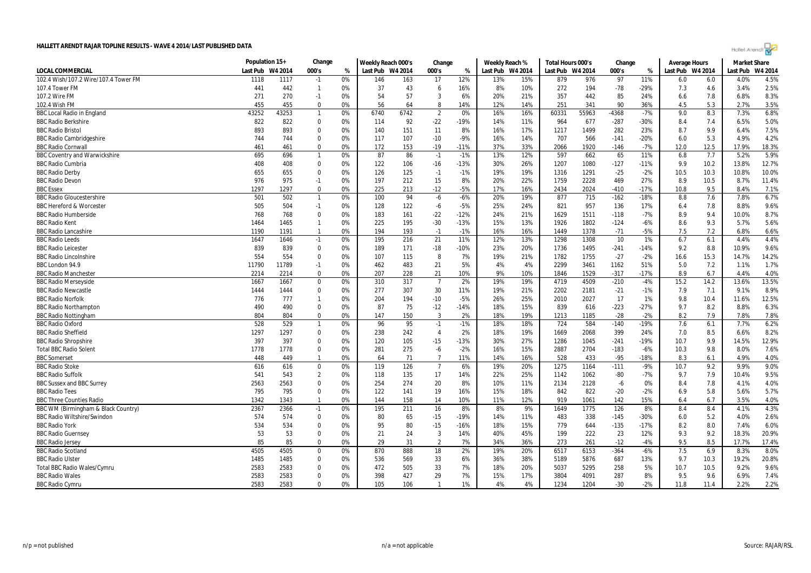| Hollel Arendi |  |
|---------------|--|

| 000's<br>Last Pub W4 2014<br>000's<br>000's<br>Last Pub W4 2014<br><b>LOCAL COMMERCIAL</b><br>Last Pub<br>W4 2014<br>%<br>Last Pub W4 2014<br>Last Pub W4 2014<br>%<br>Last Pub<br>W4 2014<br>%<br>102.4 Wish/107.2 Wire/107.4 Tower FM<br>1118<br>0%<br>146<br>12%<br>13%<br>15%<br>97<br>11%<br>4.0%<br>4.5%<br>1117<br>163<br>17<br>879<br>976<br>6.0<br>$-1$<br>6.0<br>37<br>8%<br>272<br>$-78$<br>$-29%$<br>7.3<br>2.5%<br>441<br>442<br>0%<br>43<br>16%<br>10%<br>194<br>4.6<br>3.4%<br>107.4 Tower FM<br>$\mathbf{1}$<br>6<br>54<br>57<br>20%<br>357<br>85<br>8.3%<br>107.2 Wire FM<br>271<br>270<br>$-1$<br>0%<br>3<br>6%<br>21%<br>442<br>24%<br>6.6<br>7.8<br>6.8%<br>56<br>5.3<br>3.5%<br>102.4 Wish FM<br>455<br>455<br>0%<br>8<br>14%<br>12%<br>14%<br>251<br>341<br>90<br>36%<br>4.5<br>2.7%<br>$\mathbf{0}$<br>64<br>43252<br>$\overline{2}$<br>16%<br>55963<br>9.0<br>8.3<br>7.3%<br>6.8%<br>43253<br>0%<br>6740<br>6742<br>0%<br>16%<br>60331<br>-4368<br>$-7%$<br><b>BBC Local Radio in England</b><br>$\mathbf{1}$<br>5.0%<br>822<br>822<br>92<br>$-22$<br>-19%<br>14%<br>964<br>677<br>6.5%<br><b>BBC Radio Berkshire</b><br>0<br>0%<br>114<br>11%<br>$-287$<br>-30%<br>8.4<br>7.4<br>7.5%<br><b>BBC Radio Bristol</b><br>$\Omega$<br>140<br>16%<br>17%<br>1499<br>8.7<br>6.4%<br>893<br>893<br>0%<br>151<br>11<br>8%<br>1217<br>282<br>23%<br>9.9<br>4.2%<br>0%<br>117<br>107<br>$-10$<br>$-9%$<br>16%<br>14%<br>707<br>566<br>$-141$<br>$-20%$<br>6.0<br>5.3<br>4.9%<br><b>BBC Radio Cambridgeshire</b><br>744<br>744<br>$\Omega$<br><b>BBC Radio Cornwall</b><br>$\mathbf 0$<br>0%<br>172<br>$-19$<br>37%<br>33%<br>1920<br>$-7%$<br>12.0<br>17.9%<br>18.3%<br>461<br>153<br>$-11%$<br>2066<br>$-146$<br>12.5<br>461<br>87<br>597<br>7.7<br>5.2%<br>5.9%<br><b>BBC Coventry and Warwickshire</b><br>695<br>696<br>$\overline{1}$<br>0%<br>86<br>$-1$<br>$-1%$<br>13%<br>12%<br>662<br>65<br>11%<br>6.8<br>12.7%<br><b>BBC Radio Cumbria</b><br>408<br>408<br>$\mathbf 0$<br>0%<br>122<br>106<br>$-16$<br>$-13%$<br>30%<br>26%<br>1207<br>1080<br>$-127$<br>$-11%$<br>9.9<br>10.2<br>13.8%<br>126<br>125<br>19%<br>$-25$<br>10.3<br>10.0%<br><b>BBC Radio Derby</b><br>655<br>655<br>$\Omega$<br>0%<br>$-1%$<br>19%<br>1316<br>1291<br>$-2%$<br>10.5<br>10.8%<br>$-1$<br>11.4%<br><b>BBC Radio Devon</b><br>976<br>975<br>0%<br>197<br>212<br>15<br>8%<br>20%<br>22%<br>1759<br>2228<br>469<br>27%<br>8.9<br>10.5<br>8.7%<br>$-1$<br>225<br>$-5%$<br>16%<br>9.5<br>1297<br>1297<br>$\mathbf 0$<br>0%<br>213<br>$-12$<br>17%<br>2024<br>$-410$<br>$-17%$<br>8.4%<br>7.1%<br><b>BBC Essex</b><br>2434<br>10.8<br>877<br>7.6<br>6.7%<br>501<br>502<br>0%<br>100<br>94<br>$-6%$<br>20%<br>19%<br>715<br>$-162$<br>$-18%$<br>8.8<br>7.8%<br><b>BBC Radio Gloucestershire</b><br>$\overline{1}$<br>-6<br>957<br>9.6%<br>505<br>$-1$<br>0%<br>122<br>$-6$<br>$-5%$<br>25%<br>24%<br>821<br>136<br>17%<br>7.8<br>8.8%<br><b>BBC Hereford &amp; Worcester</b><br>504<br>128<br>6.4<br>8.7%<br>183<br>161<br>$-22$<br>$-12%$<br>24%<br>1629<br>1511<br>$-7%$<br>8.9<br>9.4<br>10.0%<br>768<br>768<br>0%<br>21%<br>$-118$<br><b>BBC Radio Humberside</b><br>$\Omega$<br>225<br>195<br>$-30$<br>$-13%$<br>15%<br>13%<br>1926<br>1802<br>$-6%$<br>8.6<br>9.3<br>5.7%<br>5.6%<br><b>BBC Radio Kent</b><br>1464<br>1465<br>$\overline{1}$<br>0%<br>$-124$<br>6.6%<br><b>BBC Radio Lancashire</b><br>1190<br>1191<br>0%<br>194<br>193<br>$-1%$<br>16%<br>16%<br>1449<br>1378<br>$-71$<br>$-5%$<br>7.5<br>7.2<br>6.8%<br>$\mathbf{1}$<br>$-1$<br>4.4%<br><b>BBC Radio Leeds</b><br>1647<br>0%<br>195<br>216<br>21<br>11%<br>12%<br>13%<br>1298<br>1308<br>10<br>1%<br>6.7<br>6.1<br>4.4%<br>1646<br>$-1$<br>9.6%<br><b>BBC Radio Leicester</b><br>839<br>0%<br>189<br>171<br>$-18$<br>23%<br>20%<br>1736<br>1495<br>$-241$<br>9.2<br>8.8<br>10.9%<br>839<br>$\mathbf{0}$<br>$-10%$<br>$-14%$<br>1755<br>$-27$<br>$-2%$<br>14.2%<br><b>BBC Radio Lincolnshire</b><br>554<br>554<br>$\mathbf 0$<br>0%<br>107<br>115<br>8<br>7%<br>19%<br>1782<br>15.3<br>14.7%<br>21%<br>16.6<br>462<br>5%<br>4%<br>5.0<br>7.2<br>1.7%<br>0%<br>483<br>21<br>4%<br>2299<br>3461<br>1162<br>51%<br>1.1%<br>BBC London 94.9<br>11790<br>11789<br>$-1$<br>$\mathbf 0$<br>0%<br>207<br>228<br>21<br>10%<br>9%<br>10%<br>1529<br>$-17%$<br>8.9<br>6.7<br>4.4%<br>4.0%<br><b>BBC Radio Manchester</b><br>2214<br>2214<br>1846<br>$-317$<br>19%<br>4509<br>15.2<br>13.6%<br>13.5%<br><b>BBC Radio Merseyside</b><br>1667<br>1667<br>$\mathbf 0$<br>0%<br>310<br>317<br>$\overline{7}$<br>2%<br>19%<br>4719<br>$-210$<br>$-4%$<br>14.2<br>$\mathbf 0$<br>0%<br>277<br>307<br>30<br>19%<br>21%<br>2202<br>2181<br>$-21$<br>9.1%<br>8.9%<br><b>BBC Radio Newcastle</b><br>1444<br>1444<br>11%<br>$-1%$<br>7.9<br>7.1<br>194<br>25%<br>2027<br>9.8<br>10.4<br>12.5%<br><b>BBC Radio Norfolk</b><br>776<br>777<br>0%<br>204<br>$-10$<br>$-5%$<br>26%<br>2010<br>17<br>1%<br>11.6%<br>87<br>75<br>$-12$<br>18%<br>$-223$<br>9.7<br>6.3%<br><b>BBC Radio Northampton</b><br>490<br>490<br>$\mathbf 0$<br>0%<br>$-14%$<br>15%<br>839<br>616<br>$-27%$<br>8.2<br>8.8% |
|------------------------------------------------------------------------------------------------------------------------------------------------------------------------------------------------------------------------------------------------------------------------------------------------------------------------------------------------------------------------------------------------------------------------------------------------------------------------------------------------------------------------------------------------------------------------------------------------------------------------------------------------------------------------------------------------------------------------------------------------------------------------------------------------------------------------------------------------------------------------------------------------------------------------------------------------------------------------------------------------------------------------------------------------------------------------------------------------------------------------------------------------------------------------------------------------------------------------------------------------------------------------------------------------------------------------------------------------------------------------------------------------------------------------------------------------------------------------------------------------------------------------------------------------------------------------------------------------------------------------------------------------------------------------------------------------------------------------------------------------------------------------------------------------------------------------------------------------------------------------------------------------------------------------------------------------------------------------------------------------------------------------------------------------------------------------------------------------------------------------------------------------------------------------------------------------------------------------------------------------------------------------------------------------------------------------------------------------------------------------------------------------------------------------------------------------------------------------------------------------------------------------------------------------------------------------------------------------------------------------------------------------------------------------------------------------------------------------------------------------------------------------------------------------------------------------------------------------------------------------------------------------------------------------------------------------------------------------------------------------------------------------------------------------------------------------------------------------------------------------------------------------------------------------------------------------------------------------------------------------------------------------------------------------------------------------------------------------------------------------------------------------------------------------------------------------------------------------------------------------------------------------------------------------------------------------------------------------------------------------------------------------------------------------------------------------------------------------------------------------------------------------------------------------------------------------------------------------------------------------------------------------------------------------------------------------------------------------------------------------------------------------------------------------------------------------------------------------------------------------------------------------------------------------------------------------------------------------------------------------------------------------------------------------------------------------------------------------------------------------------------------------------------------------------------------------------------------------------------------------------------------------------------------------------------------------------------------------------------------------------------------------------------------------------------------------------------------------------------------------------------------------------------------------------------------------------------------------------------------------------------------------------------------------------------------------------------------------------------------------------------------------------------------------------------------------------------------------------------------------------------------|
|                                                                                                                                                                                                                                                                                                                                                                                                                                                                                                                                                                                                                                                                                                                                                                                                                                                                                                                                                                                                                                                                                                                                                                                                                                                                                                                                                                                                                                                                                                                                                                                                                                                                                                                                                                                                                                                                                                                                                                                                                                                                                                                                                                                                                                                                                                                                                                                                                                                                                                                                                                                                                                                                                                                                                                                                                                                                                                                                                                                                                                                                                                                                                                                                                                                                                                                                                                                                                                                                                                                                                                                                                                                                                                                                                                                                                                                                                                                                                                                                                                                                                                                                                                                                                                                                                                                                                                                                                                                                                                                                                                                                                                                                                                                                                                                                                                                                                                                                                                                                                                                                                                                                          |
|                                                                                                                                                                                                                                                                                                                                                                                                                                                                                                                                                                                                                                                                                                                                                                                                                                                                                                                                                                                                                                                                                                                                                                                                                                                                                                                                                                                                                                                                                                                                                                                                                                                                                                                                                                                                                                                                                                                                                                                                                                                                                                                                                                                                                                                                                                                                                                                                                                                                                                                                                                                                                                                                                                                                                                                                                                                                                                                                                                                                                                                                                                                                                                                                                                                                                                                                                                                                                                                                                                                                                                                                                                                                                                                                                                                                                                                                                                                                                                                                                                                                                                                                                                                                                                                                                                                                                                                                                                                                                                                                                                                                                                                                                                                                                                                                                                                                                                                                                                                                                                                                                                                                          |
|                                                                                                                                                                                                                                                                                                                                                                                                                                                                                                                                                                                                                                                                                                                                                                                                                                                                                                                                                                                                                                                                                                                                                                                                                                                                                                                                                                                                                                                                                                                                                                                                                                                                                                                                                                                                                                                                                                                                                                                                                                                                                                                                                                                                                                                                                                                                                                                                                                                                                                                                                                                                                                                                                                                                                                                                                                                                                                                                                                                                                                                                                                                                                                                                                                                                                                                                                                                                                                                                                                                                                                                                                                                                                                                                                                                                                                                                                                                                                                                                                                                                                                                                                                                                                                                                                                                                                                                                                                                                                                                                                                                                                                                                                                                                                                                                                                                                                                                                                                                                                                                                                                                                          |
|                                                                                                                                                                                                                                                                                                                                                                                                                                                                                                                                                                                                                                                                                                                                                                                                                                                                                                                                                                                                                                                                                                                                                                                                                                                                                                                                                                                                                                                                                                                                                                                                                                                                                                                                                                                                                                                                                                                                                                                                                                                                                                                                                                                                                                                                                                                                                                                                                                                                                                                                                                                                                                                                                                                                                                                                                                                                                                                                                                                                                                                                                                                                                                                                                                                                                                                                                                                                                                                                                                                                                                                                                                                                                                                                                                                                                                                                                                                                                                                                                                                                                                                                                                                                                                                                                                                                                                                                                                                                                                                                                                                                                                                                                                                                                                                                                                                                                                                                                                                                                                                                                                                                          |
|                                                                                                                                                                                                                                                                                                                                                                                                                                                                                                                                                                                                                                                                                                                                                                                                                                                                                                                                                                                                                                                                                                                                                                                                                                                                                                                                                                                                                                                                                                                                                                                                                                                                                                                                                                                                                                                                                                                                                                                                                                                                                                                                                                                                                                                                                                                                                                                                                                                                                                                                                                                                                                                                                                                                                                                                                                                                                                                                                                                                                                                                                                                                                                                                                                                                                                                                                                                                                                                                                                                                                                                                                                                                                                                                                                                                                                                                                                                                                                                                                                                                                                                                                                                                                                                                                                                                                                                                                                                                                                                                                                                                                                                                                                                                                                                                                                                                                                                                                                                                                                                                                                                                          |
|                                                                                                                                                                                                                                                                                                                                                                                                                                                                                                                                                                                                                                                                                                                                                                                                                                                                                                                                                                                                                                                                                                                                                                                                                                                                                                                                                                                                                                                                                                                                                                                                                                                                                                                                                                                                                                                                                                                                                                                                                                                                                                                                                                                                                                                                                                                                                                                                                                                                                                                                                                                                                                                                                                                                                                                                                                                                                                                                                                                                                                                                                                                                                                                                                                                                                                                                                                                                                                                                                                                                                                                                                                                                                                                                                                                                                                                                                                                                                                                                                                                                                                                                                                                                                                                                                                                                                                                                                                                                                                                                                                                                                                                                                                                                                                                                                                                                                                                                                                                                                                                                                                                                          |
|                                                                                                                                                                                                                                                                                                                                                                                                                                                                                                                                                                                                                                                                                                                                                                                                                                                                                                                                                                                                                                                                                                                                                                                                                                                                                                                                                                                                                                                                                                                                                                                                                                                                                                                                                                                                                                                                                                                                                                                                                                                                                                                                                                                                                                                                                                                                                                                                                                                                                                                                                                                                                                                                                                                                                                                                                                                                                                                                                                                                                                                                                                                                                                                                                                                                                                                                                                                                                                                                                                                                                                                                                                                                                                                                                                                                                                                                                                                                                                                                                                                                                                                                                                                                                                                                                                                                                                                                                                                                                                                                                                                                                                                                                                                                                                                                                                                                                                                                                                                                                                                                                                                                          |
|                                                                                                                                                                                                                                                                                                                                                                                                                                                                                                                                                                                                                                                                                                                                                                                                                                                                                                                                                                                                                                                                                                                                                                                                                                                                                                                                                                                                                                                                                                                                                                                                                                                                                                                                                                                                                                                                                                                                                                                                                                                                                                                                                                                                                                                                                                                                                                                                                                                                                                                                                                                                                                                                                                                                                                                                                                                                                                                                                                                                                                                                                                                                                                                                                                                                                                                                                                                                                                                                                                                                                                                                                                                                                                                                                                                                                                                                                                                                                                                                                                                                                                                                                                                                                                                                                                                                                                                                                                                                                                                                                                                                                                                                                                                                                                                                                                                                                                                                                                                                                                                                                                                                          |
|                                                                                                                                                                                                                                                                                                                                                                                                                                                                                                                                                                                                                                                                                                                                                                                                                                                                                                                                                                                                                                                                                                                                                                                                                                                                                                                                                                                                                                                                                                                                                                                                                                                                                                                                                                                                                                                                                                                                                                                                                                                                                                                                                                                                                                                                                                                                                                                                                                                                                                                                                                                                                                                                                                                                                                                                                                                                                                                                                                                                                                                                                                                                                                                                                                                                                                                                                                                                                                                                                                                                                                                                                                                                                                                                                                                                                                                                                                                                                                                                                                                                                                                                                                                                                                                                                                                                                                                                                                                                                                                                                                                                                                                                                                                                                                                                                                                                                                                                                                                                                                                                                                                                          |
|                                                                                                                                                                                                                                                                                                                                                                                                                                                                                                                                                                                                                                                                                                                                                                                                                                                                                                                                                                                                                                                                                                                                                                                                                                                                                                                                                                                                                                                                                                                                                                                                                                                                                                                                                                                                                                                                                                                                                                                                                                                                                                                                                                                                                                                                                                                                                                                                                                                                                                                                                                                                                                                                                                                                                                                                                                                                                                                                                                                                                                                                                                                                                                                                                                                                                                                                                                                                                                                                                                                                                                                                                                                                                                                                                                                                                                                                                                                                                                                                                                                                                                                                                                                                                                                                                                                                                                                                                                                                                                                                                                                                                                                                                                                                                                                                                                                                                                                                                                                                                                                                                                                                          |
|                                                                                                                                                                                                                                                                                                                                                                                                                                                                                                                                                                                                                                                                                                                                                                                                                                                                                                                                                                                                                                                                                                                                                                                                                                                                                                                                                                                                                                                                                                                                                                                                                                                                                                                                                                                                                                                                                                                                                                                                                                                                                                                                                                                                                                                                                                                                                                                                                                                                                                                                                                                                                                                                                                                                                                                                                                                                                                                                                                                                                                                                                                                                                                                                                                                                                                                                                                                                                                                                                                                                                                                                                                                                                                                                                                                                                                                                                                                                                                                                                                                                                                                                                                                                                                                                                                                                                                                                                                                                                                                                                                                                                                                                                                                                                                                                                                                                                                                                                                                                                                                                                                                                          |
|                                                                                                                                                                                                                                                                                                                                                                                                                                                                                                                                                                                                                                                                                                                                                                                                                                                                                                                                                                                                                                                                                                                                                                                                                                                                                                                                                                                                                                                                                                                                                                                                                                                                                                                                                                                                                                                                                                                                                                                                                                                                                                                                                                                                                                                                                                                                                                                                                                                                                                                                                                                                                                                                                                                                                                                                                                                                                                                                                                                                                                                                                                                                                                                                                                                                                                                                                                                                                                                                                                                                                                                                                                                                                                                                                                                                                                                                                                                                                                                                                                                                                                                                                                                                                                                                                                                                                                                                                                                                                                                                                                                                                                                                                                                                                                                                                                                                                                                                                                                                                                                                                                                                          |
|                                                                                                                                                                                                                                                                                                                                                                                                                                                                                                                                                                                                                                                                                                                                                                                                                                                                                                                                                                                                                                                                                                                                                                                                                                                                                                                                                                                                                                                                                                                                                                                                                                                                                                                                                                                                                                                                                                                                                                                                                                                                                                                                                                                                                                                                                                                                                                                                                                                                                                                                                                                                                                                                                                                                                                                                                                                                                                                                                                                                                                                                                                                                                                                                                                                                                                                                                                                                                                                                                                                                                                                                                                                                                                                                                                                                                                                                                                                                                                                                                                                                                                                                                                                                                                                                                                                                                                                                                                                                                                                                                                                                                                                                                                                                                                                                                                                                                                                                                                                                                                                                                                                                          |
|                                                                                                                                                                                                                                                                                                                                                                                                                                                                                                                                                                                                                                                                                                                                                                                                                                                                                                                                                                                                                                                                                                                                                                                                                                                                                                                                                                                                                                                                                                                                                                                                                                                                                                                                                                                                                                                                                                                                                                                                                                                                                                                                                                                                                                                                                                                                                                                                                                                                                                                                                                                                                                                                                                                                                                                                                                                                                                                                                                                                                                                                                                                                                                                                                                                                                                                                                                                                                                                                                                                                                                                                                                                                                                                                                                                                                                                                                                                                                                                                                                                                                                                                                                                                                                                                                                                                                                                                                                                                                                                                                                                                                                                                                                                                                                                                                                                                                                                                                                                                                                                                                                                                          |
|                                                                                                                                                                                                                                                                                                                                                                                                                                                                                                                                                                                                                                                                                                                                                                                                                                                                                                                                                                                                                                                                                                                                                                                                                                                                                                                                                                                                                                                                                                                                                                                                                                                                                                                                                                                                                                                                                                                                                                                                                                                                                                                                                                                                                                                                                                                                                                                                                                                                                                                                                                                                                                                                                                                                                                                                                                                                                                                                                                                                                                                                                                                                                                                                                                                                                                                                                                                                                                                                                                                                                                                                                                                                                                                                                                                                                                                                                                                                                                                                                                                                                                                                                                                                                                                                                                                                                                                                                                                                                                                                                                                                                                                                                                                                                                                                                                                                                                                                                                                                                                                                                                                                          |
|                                                                                                                                                                                                                                                                                                                                                                                                                                                                                                                                                                                                                                                                                                                                                                                                                                                                                                                                                                                                                                                                                                                                                                                                                                                                                                                                                                                                                                                                                                                                                                                                                                                                                                                                                                                                                                                                                                                                                                                                                                                                                                                                                                                                                                                                                                                                                                                                                                                                                                                                                                                                                                                                                                                                                                                                                                                                                                                                                                                                                                                                                                                                                                                                                                                                                                                                                                                                                                                                                                                                                                                                                                                                                                                                                                                                                                                                                                                                                                                                                                                                                                                                                                                                                                                                                                                                                                                                                                                                                                                                                                                                                                                                                                                                                                                                                                                                                                                                                                                                                                                                                                                                          |
|                                                                                                                                                                                                                                                                                                                                                                                                                                                                                                                                                                                                                                                                                                                                                                                                                                                                                                                                                                                                                                                                                                                                                                                                                                                                                                                                                                                                                                                                                                                                                                                                                                                                                                                                                                                                                                                                                                                                                                                                                                                                                                                                                                                                                                                                                                                                                                                                                                                                                                                                                                                                                                                                                                                                                                                                                                                                                                                                                                                                                                                                                                                                                                                                                                                                                                                                                                                                                                                                                                                                                                                                                                                                                                                                                                                                                                                                                                                                                                                                                                                                                                                                                                                                                                                                                                                                                                                                                                                                                                                                                                                                                                                                                                                                                                                                                                                                                                                                                                                                                                                                                                                                          |
|                                                                                                                                                                                                                                                                                                                                                                                                                                                                                                                                                                                                                                                                                                                                                                                                                                                                                                                                                                                                                                                                                                                                                                                                                                                                                                                                                                                                                                                                                                                                                                                                                                                                                                                                                                                                                                                                                                                                                                                                                                                                                                                                                                                                                                                                                                                                                                                                                                                                                                                                                                                                                                                                                                                                                                                                                                                                                                                                                                                                                                                                                                                                                                                                                                                                                                                                                                                                                                                                                                                                                                                                                                                                                                                                                                                                                                                                                                                                                                                                                                                                                                                                                                                                                                                                                                                                                                                                                                                                                                                                                                                                                                                                                                                                                                                                                                                                                                                                                                                                                                                                                                                                          |
|                                                                                                                                                                                                                                                                                                                                                                                                                                                                                                                                                                                                                                                                                                                                                                                                                                                                                                                                                                                                                                                                                                                                                                                                                                                                                                                                                                                                                                                                                                                                                                                                                                                                                                                                                                                                                                                                                                                                                                                                                                                                                                                                                                                                                                                                                                                                                                                                                                                                                                                                                                                                                                                                                                                                                                                                                                                                                                                                                                                                                                                                                                                                                                                                                                                                                                                                                                                                                                                                                                                                                                                                                                                                                                                                                                                                                                                                                                                                                                                                                                                                                                                                                                                                                                                                                                                                                                                                                                                                                                                                                                                                                                                                                                                                                                                                                                                                                                                                                                                                                                                                                                                                          |
|                                                                                                                                                                                                                                                                                                                                                                                                                                                                                                                                                                                                                                                                                                                                                                                                                                                                                                                                                                                                                                                                                                                                                                                                                                                                                                                                                                                                                                                                                                                                                                                                                                                                                                                                                                                                                                                                                                                                                                                                                                                                                                                                                                                                                                                                                                                                                                                                                                                                                                                                                                                                                                                                                                                                                                                                                                                                                                                                                                                                                                                                                                                                                                                                                                                                                                                                                                                                                                                                                                                                                                                                                                                                                                                                                                                                                                                                                                                                                                                                                                                                                                                                                                                                                                                                                                                                                                                                                                                                                                                                                                                                                                                                                                                                                                                                                                                                                                                                                                                                                                                                                                                                          |
|                                                                                                                                                                                                                                                                                                                                                                                                                                                                                                                                                                                                                                                                                                                                                                                                                                                                                                                                                                                                                                                                                                                                                                                                                                                                                                                                                                                                                                                                                                                                                                                                                                                                                                                                                                                                                                                                                                                                                                                                                                                                                                                                                                                                                                                                                                                                                                                                                                                                                                                                                                                                                                                                                                                                                                                                                                                                                                                                                                                                                                                                                                                                                                                                                                                                                                                                                                                                                                                                                                                                                                                                                                                                                                                                                                                                                                                                                                                                                                                                                                                                                                                                                                                                                                                                                                                                                                                                                                                                                                                                                                                                                                                                                                                                                                                                                                                                                                                                                                                                                                                                                                                                          |
|                                                                                                                                                                                                                                                                                                                                                                                                                                                                                                                                                                                                                                                                                                                                                                                                                                                                                                                                                                                                                                                                                                                                                                                                                                                                                                                                                                                                                                                                                                                                                                                                                                                                                                                                                                                                                                                                                                                                                                                                                                                                                                                                                                                                                                                                                                                                                                                                                                                                                                                                                                                                                                                                                                                                                                                                                                                                                                                                                                                                                                                                                                                                                                                                                                                                                                                                                                                                                                                                                                                                                                                                                                                                                                                                                                                                                                                                                                                                                                                                                                                                                                                                                                                                                                                                                                                                                                                                                                                                                                                                                                                                                                                                                                                                                                                                                                                                                                                                                                                                                                                                                                                                          |
|                                                                                                                                                                                                                                                                                                                                                                                                                                                                                                                                                                                                                                                                                                                                                                                                                                                                                                                                                                                                                                                                                                                                                                                                                                                                                                                                                                                                                                                                                                                                                                                                                                                                                                                                                                                                                                                                                                                                                                                                                                                                                                                                                                                                                                                                                                                                                                                                                                                                                                                                                                                                                                                                                                                                                                                                                                                                                                                                                                                                                                                                                                                                                                                                                                                                                                                                                                                                                                                                                                                                                                                                                                                                                                                                                                                                                                                                                                                                                                                                                                                                                                                                                                                                                                                                                                                                                                                                                                                                                                                                                                                                                                                                                                                                                                                                                                                                                                                                                                                                                                                                                                                                          |
|                                                                                                                                                                                                                                                                                                                                                                                                                                                                                                                                                                                                                                                                                                                                                                                                                                                                                                                                                                                                                                                                                                                                                                                                                                                                                                                                                                                                                                                                                                                                                                                                                                                                                                                                                                                                                                                                                                                                                                                                                                                                                                                                                                                                                                                                                                                                                                                                                                                                                                                                                                                                                                                                                                                                                                                                                                                                                                                                                                                                                                                                                                                                                                                                                                                                                                                                                                                                                                                                                                                                                                                                                                                                                                                                                                                                                                                                                                                                                                                                                                                                                                                                                                                                                                                                                                                                                                                                                                                                                                                                                                                                                                                                                                                                                                                                                                                                                                                                                                                                                                                                                                                                          |
|                                                                                                                                                                                                                                                                                                                                                                                                                                                                                                                                                                                                                                                                                                                                                                                                                                                                                                                                                                                                                                                                                                                                                                                                                                                                                                                                                                                                                                                                                                                                                                                                                                                                                                                                                                                                                                                                                                                                                                                                                                                                                                                                                                                                                                                                                                                                                                                                                                                                                                                                                                                                                                                                                                                                                                                                                                                                                                                                                                                                                                                                                                                                                                                                                                                                                                                                                                                                                                                                                                                                                                                                                                                                                                                                                                                                                                                                                                                                                                                                                                                                                                                                                                                                                                                                                                                                                                                                                                                                                                                                                                                                                                                                                                                                                                                                                                                                                                                                                                                                                                                                                                                                          |
|                                                                                                                                                                                                                                                                                                                                                                                                                                                                                                                                                                                                                                                                                                                                                                                                                                                                                                                                                                                                                                                                                                                                                                                                                                                                                                                                                                                                                                                                                                                                                                                                                                                                                                                                                                                                                                                                                                                                                                                                                                                                                                                                                                                                                                                                                                                                                                                                                                                                                                                                                                                                                                                                                                                                                                                                                                                                                                                                                                                                                                                                                                                                                                                                                                                                                                                                                                                                                                                                                                                                                                                                                                                                                                                                                                                                                                                                                                                                                                                                                                                                                                                                                                                                                                                                                                                                                                                                                                                                                                                                                                                                                                                                                                                                                                                                                                                                                                                                                                                                                                                                                                                                          |
|                                                                                                                                                                                                                                                                                                                                                                                                                                                                                                                                                                                                                                                                                                                                                                                                                                                                                                                                                                                                                                                                                                                                                                                                                                                                                                                                                                                                                                                                                                                                                                                                                                                                                                                                                                                                                                                                                                                                                                                                                                                                                                                                                                                                                                                                                                                                                                                                                                                                                                                                                                                                                                                                                                                                                                                                                                                                                                                                                                                                                                                                                                                                                                                                                                                                                                                                                                                                                                                                                                                                                                                                                                                                                                                                                                                                                                                                                                                                                                                                                                                                                                                                                                                                                                                                                                                                                                                                                                                                                                                                                                                                                                                                                                                                                                                                                                                                                                                                                                                                                                                                                                                                          |
|                                                                                                                                                                                                                                                                                                                                                                                                                                                                                                                                                                                                                                                                                                                                                                                                                                                                                                                                                                                                                                                                                                                                                                                                                                                                                                                                                                                                                                                                                                                                                                                                                                                                                                                                                                                                                                                                                                                                                                                                                                                                                                                                                                                                                                                                                                                                                                                                                                                                                                                                                                                                                                                                                                                                                                                                                                                                                                                                                                                                                                                                                                                                                                                                                                                                                                                                                                                                                                                                                                                                                                                                                                                                                                                                                                                                                                                                                                                                                                                                                                                                                                                                                                                                                                                                                                                                                                                                                                                                                                                                                                                                                                                                                                                                                                                                                                                                                                                                                                                                                                                                                                                                          |
|                                                                                                                                                                                                                                                                                                                                                                                                                                                                                                                                                                                                                                                                                                                                                                                                                                                                                                                                                                                                                                                                                                                                                                                                                                                                                                                                                                                                                                                                                                                                                                                                                                                                                                                                                                                                                                                                                                                                                                                                                                                                                                                                                                                                                                                                                                                                                                                                                                                                                                                                                                                                                                                                                                                                                                                                                                                                                                                                                                                                                                                                                                                                                                                                                                                                                                                                                                                                                                                                                                                                                                                                                                                                                                                                                                                                                                                                                                                                                                                                                                                                                                                                                                                                                                                                                                                                                                                                                                                                                                                                                                                                                                                                                                                                                                                                                                                                                                                                                                                                                                                                                                                                          |
| 19%<br>$-2%$<br>7.9<br>804<br>804<br>$\mathbf 0$<br>0%<br>147<br>150<br>$\overline{3}$<br>2%<br>18%<br>1185<br>$-28$<br>8.2<br>7.8%<br>7.8%<br><b>BBC Radio Nottingham</b><br>1213                                                                                                                                                                                                                                                                                                                                                                                                                                                                                                                                                                                                                                                                                                                                                                                                                                                                                                                                                                                                                                                                                                                                                                                                                                                                                                                                                                                                                                                                                                                                                                                                                                                                                                                                                                                                                                                                                                                                                                                                                                                                                                                                                                                                                                                                                                                                                                                                                                                                                                                                                                                                                                                                                                                                                                                                                                                                                                                                                                                                                                                                                                                                                                                                                                                                                                                                                                                                                                                                                                                                                                                                                                                                                                                                                                                                                                                                                                                                                                                                                                                                                                                                                                                                                                                                                                                                                                                                                                                                                                                                                                                                                                                                                                                                                                                                                                                                                                                                                       |
| 6.2%<br>96<br>584<br><b>BBC Radio Oxford</b><br>528<br>529<br>0%<br>95<br>$-1$<br>$-1%$<br>18%<br>18%<br>724<br>$-140$<br>$-19%$<br>7.6<br>6.1<br>7.7%<br>-1                                                                                                                                                                                                                                                                                                                                                                                                                                                                                                                                                                                                                                                                                                                                                                                                                                                                                                                                                                                                                                                                                                                                                                                                                                                                                                                                                                                                                                                                                                                                                                                                                                                                                                                                                                                                                                                                                                                                                                                                                                                                                                                                                                                                                                                                                                                                                                                                                                                                                                                                                                                                                                                                                                                                                                                                                                                                                                                                                                                                                                                                                                                                                                                                                                                                                                                                                                                                                                                                                                                                                                                                                                                                                                                                                                                                                                                                                                                                                                                                                                                                                                                                                                                                                                                                                                                                                                                                                                                                                                                                                                                                                                                                                                                                                                                                                                                                                                                                                                             |
| 8.2%<br>1297<br>0%<br>238<br>242<br>2%<br>18%<br>19%<br>2068<br>7.0<br>8.5<br>6.6%<br><b>BBC Radio Sheffield</b><br>1297<br>0<br>$\overline{4}$<br>1669<br>399<br>24%                                                                                                                                                                                                                                                                                                                                                                                                                                                                                                                                                                                                                                                                                                                                                                                                                                                                                                                                                                                                                                                                                                                                                                                                                                                                                                                                                                                                                                                                                                                                                                                                                                                                                                                                                                                                                                                                                                                                                                                                                                                                                                                                                                                                                                                                                                                                                                                                                                                                                                                                                                                                                                                                                                                                                                                                                                                                                                                                                                                                                                                                                                                                                                                                                                                                                                                                                                                                                                                                                                                                                                                                                                                                                                                                                                                                                                                                                                                                                                                                                                                                                                                                                                                                                                                                                                                                                                                                                                                                                                                                                                                                                                                                                                                                                                                                                                                                                                                                                                    |
| 12.9%<br>397<br>397<br>120<br>105<br>$-15$<br>$-13%$<br>30%<br>27%<br>1286<br>1045<br>$-19%$<br>10.7<br>9.9<br>14.5%<br><b>BBC Radio Shropshire</b><br>0<br>0%<br>$-241$                                                                                                                                                                                                                                                                                                                                                                                                                                                                                                                                                                                                                                                                                                                                                                                                                                                                                                                                                                                                                                                                                                                                                                                                                                                                                                                                                                                                                                                                                                                                                                                                                                                                                                                                                                                                                                                                                                                                                                                                                                                                                                                                                                                                                                                                                                                                                                                                                                                                                                                                                                                                                                                                                                                                                                                                                                                                                                                                                                                                                                                                                                                                                                                                                                                                                                                                                                                                                                                                                                                                                                                                                                                                                                                                                                                                                                                                                                                                                                                                                                                                                                                                                                                                                                                                                                                                                                                                                                                                                                                                                                                                                                                                                                                                                                                                                                                                                                                                                                 |
| <b>Total BBC Radio Solent</b><br>1778<br>1778<br>$\mathbf 0$<br>0%<br>281<br>275<br>$-2%$<br>16%<br>15%<br>2887<br>2704<br>$-183$<br>$-6%$<br>10.3<br>9.8<br>8.0%<br>7.6%<br>-6                                                                                                                                                                                                                                                                                                                                                                                                                                                                                                                                                                                                                                                                                                                                                                                                                                                                                                                                                                                                                                                                                                                                                                                                                                                                                                                                                                                                                                                                                                                                                                                                                                                                                                                                                                                                                                                                                                                                                                                                                                                                                                                                                                                                                                                                                                                                                                                                                                                                                                                                                                                                                                                                                                                                                                                                                                                                                                                                                                                                                                                                                                                                                                                                                                                                                                                                                                                                                                                                                                                                                                                                                                                                                                                                                                                                                                                                                                                                                                                                                                                                                                                                                                                                                                                                                                                                                                                                                                                                                                                                                                                                                                                                                                                                                                                                                                                                                                                                                          |
| 448<br>0%<br>64<br>11%<br>14%<br>16%<br>528<br>433<br>$-95$<br>$-18%$<br>8.3<br>6.1<br>4.9%<br>4.0%<br><b>BBC</b> Somerset<br>449<br>71<br>$\overline{7}$<br>$\mathbf{1}$                                                                                                                                                                                                                                                                                                                                                                                                                                                                                                                                                                                                                                                                                                                                                                                                                                                                                                                                                                                                                                                                                                                                                                                                                                                                                                                                                                                                                                                                                                                                                                                                                                                                                                                                                                                                                                                                                                                                                                                                                                                                                                                                                                                                                                                                                                                                                                                                                                                                                                                                                                                                                                                                                                                                                                                                                                                                                                                                                                                                                                                                                                                                                                                                                                                                                                                                                                                                                                                                                                                                                                                                                                                                                                                                                                                                                                                                                                                                                                                                                                                                                                                                                                                                                                                                                                                                                                                                                                                                                                                                                                                                                                                                                                                                                                                                                                                                                                                                                                |
| <b>BBC Radio Stoke</b><br>616<br>$\mathbf 0$<br>0%<br>119<br>126<br>$\overline{7}$<br>6%<br>19%<br>20%<br>1275<br>1164<br>$-111$<br>$-9%$<br>10.7<br>9.2<br>9.9%<br>9.0%<br>616                                                                                                                                                                                                                                                                                                                                                                                                                                                                                                                                                                                                                                                                                                                                                                                                                                                                                                                                                                                                                                                                                                                                                                                                                                                                                                                                                                                                                                                                                                                                                                                                                                                                                                                                                                                                                                                                                                                                                                                                                                                                                                                                                                                                                                                                                                                                                                                                                                                                                                                                                                                                                                                                                                                                                                                                                                                                                                                                                                                                                                                                                                                                                                                                                                                                                                                                                                                                                                                                                                                                                                                                                                                                                                                                                                                                                                                                                                                                                                                                                                                                                                                                                                                                                                                                                                                                                                                                                                                                                                                                                                                                                                                                                                                                                                                                                                                                                                                                                          |
| 9.5%<br><b>BBC Radio Suffolk</b><br>541<br>543<br>$\overline{2}$<br>0%<br>118<br>135<br>17<br>14%<br>22%<br>25%<br>1142<br>1062<br>$-80$<br>$-7%$<br>9.7<br>7.9<br>10.4%                                                                                                                                                                                                                                                                                                                                                                                                                                                                                                                                                                                                                                                                                                                                                                                                                                                                                                                                                                                                                                                                                                                                                                                                                                                                                                                                                                                                                                                                                                                                                                                                                                                                                                                                                                                                                                                                                                                                                                                                                                                                                                                                                                                                                                                                                                                                                                                                                                                                                                                                                                                                                                                                                                                                                                                                                                                                                                                                                                                                                                                                                                                                                                                                                                                                                                                                                                                                                                                                                                                                                                                                                                                                                                                                                                                                                                                                                                                                                                                                                                                                                                                                                                                                                                                                                                                                                                                                                                                                                                                                                                                                                                                                                                                                                                                                                                                                                                                                                                 |
| 254<br>274<br>8%<br>$-6$<br>0%<br>4.0%<br>2563<br>2563<br>$\mathbf{0}$<br>0%<br>20<br>10%<br>11%<br>2134<br>2128<br>8.4<br>7.8<br>4.1%<br><b>BBC Sussex and BBC Surrey</b>                                                                                                                                                                                                                                                                                                                                                                                                                                                                                                                                                                                                                                                                                                                                                                                                                                                                                                                                                                                                                                                                                                                                                                                                                                                                                                                                                                                                                                                                                                                                                                                                                                                                                                                                                                                                                                                                                                                                                                                                                                                                                                                                                                                                                                                                                                                                                                                                                                                                                                                                                                                                                                                                                                                                                                                                                                                                                                                                                                                                                                                                                                                                                                                                                                                                                                                                                                                                                                                                                                                                                                                                                                                                                                                                                                                                                                                                                                                                                                                                                                                                                                                                                                                                                                                                                                                                                                                                                                                                                                                                                                                                                                                                                                                                                                                                                                                                                                                                                               |
| 122<br>15%<br>822<br>5.8<br>5.7%<br><b>BBC Radio Tees</b><br>795<br>795<br>$\mathbf 0$<br>0%<br>141<br>19<br>16%<br>18%<br>842<br>$-20$<br>$-2%$<br>6.9<br>5.6%                                                                                                                                                                                                                                                                                                                                                                                                                                                                                                                                                                                                                                                                                                                                                                                                                                                                                                                                                                                                                                                                                                                                                                                                                                                                                                                                                                                                                                                                                                                                                                                                                                                                                                                                                                                                                                                                                                                                                                                                                                                                                                                                                                                                                                                                                                                                                                                                                                                                                                                                                                                                                                                                                                                                                                                                                                                                                                                                                                                                                                                                                                                                                                                                                                                                                                                                                                                                                                                                                                                                                                                                                                                                                                                                                                                                                                                                                                                                                                                                                                                                                                                                                                                                                                                                                                                                                                                                                                                                                                                                                                                                                                                                                                                                                                                                                                                                                                                                                                          |
| 15%<br>1342<br>0%<br>144<br>158<br>14<br>10%<br>11%<br>12%<br>919<br>1061<br>142<br>6.4<br>6.7<br>3.5%<br>4.0%<br><b>BBC Three Counties Radio</b><br>1343<br>$\mathbf{1}$                                                                                                                                                                                                                                                                                                                                                                                                                                                                                                                                                                                                                                                                                                                                                                                                                                                                                                                                                                                                                                                                                                                                                                                                                                                                                                                                                                                                                                                                                                                                                                                                                                                                                                                                                                                                                                                                                                                                                                                                                                                                                                                                                                                                                                                                                                                                                                                                                                                                                                                                                                                                                                                                                                                                                                                                                                                                                                                                                                                                                                                                                                                                                                                                                                                                                                                                                                                                                                                                                                                                                                                                                                                                                                                                                                                                                                                                                                                                                                                                                                                                                                                                                                                                                                                                                                                                                                                                                                                                                                                                                                                                                                                                                                                                                                                                                                                                                                                                                                |
| 4.3%<br>2367<br>2366<br>0%<br>195<br>211<br>8%<br>8%<br>9%<br>1649<br>1775<br>126<br>8%<br>8.4<br>8.4<br>4.1%<br>BBC WM (Birmingham & Black Country)<br>16<br>$-1$                                                                                                                                                                                                                                                                                                                                                                                                                                                                                                                                                                                                                                                                                                                                                                                                                                                                                                                                                                                                                                                                                                                                                                                                                                                                                                                                                                                                                                                                                                                                                                                                                                                                                                                                                                                                                                                                                                                                                                                                                                                                                                                                                                                                                                                                                                                                                                                                                                                                                                                                                                                                                                                                                                                                                                                                                                                                                                                                                                                                                                                                                                                                                                                                                                                                                                                                                                                                                                                                                                                                                                                                                                                                                                                                                                                                                                                                                                                                                                                                                                                                                                                                                                                                                                                                                                                                                                                                                                                                                                                                                                                                                                                                                                                                                                                                                                                                                                                                                                       |
| 2.6%<br><b>BBC Radio Wiltshire/Swindon</b><br>574<br>574<br>$\mathbf{0}$<br>0%<br>80<br>65<br>$-15$<br>$-19%$<br>14%<br>11%<br>483<br>338<br>$-145$<br>$-30%$<br>6.0<br>5.2<br>4.0%                                                                                                                                                                                                                                                                                                                                                                                                                                                                                                                                                                                                                                                                                                                                                                                                                                                                                                                                                                                                                                                                                                                                                                                                                                                                                                                                                                                                                                                                                                                                                                                                                                                                                                                                                                                                                                                                                                                                                                                                                                                                                                                                                                                                                                                                                                                                                                                                                                                                                                                                                                                                                                                                                                                                                                                                                                                                                                                                                                                                                                                                                                                                                                                                                                                                                                                                                                                                                                                                                                                                                                                                                                                                                                                                                                                                                                                                                                                                                                                                                                                                                                                                                                                                                                                                                                                                                                                                                                                                                                                                                                                                                                                                                                                                                                                                                                                                                                                                                      |
| 95<br><b>BBC Radio York</b><br>534<br>534<br>$\Omega$<br>0%<br>80<br>$-15$<br>$-16%$<br>18%<br>15%<br>779<br>644<br>$-135$<br>$-17%$<br>8.2<br>8.0<br>7.4%<br>6.0%                                                                                                                                                                                                                                                                                                                                                                                                                                                                                                                                                                                                                                                                                                                                                                                                                                                                                                                                                                                                                                                                                                                                                                                                                                                                                                                                                                                                                                                                                                                                                                                                                                                                                                                                                                                                                                                                                                                                                                                                                                                                                                                                                                                                                                                                                                                                                                                                                                                                                                                                                                                                                                                                                                                                                                                                                                                                                                                                                                                                                                                                                                                                                                                                                                                                                                                                                                                                                                                                                                                                                                                                                                                                                                                                                                                                                                                                                                                                                                                                                                                                                                                                                                                                                                                                                                                                                                                                                                                                                                                                                                                                                                                                                                                                                                                                                                                                                                                                                                       |
| 53<br>21<br>40%<br>45%<br>199<br>222<br>23<br>12%<br>9.3<br>9.2<br>20.9%<br><b>BBC Radio Guernsey</b><br>53<br>$\mathbf{0}$<br>0%<br>24<br>$\overline{3}$<br>14%<br>18.3%                                                                                                                                                                                                                                                                                                                                                                                                                                                                                                                                                                                                                                                                                                                                                                                                                                                                                                                                                                                                                                                                                                                                                                                                                                                                                                                                                                                                                                                                                                                                                                                                                                                                                                                                                                                                                                                                                                                                                                                                                                                                                                                                                                                                                                                                                                                                                                                                                                                                                                                                                                                                                                                                                                                                                                                                                                                                                                                                                                                                                                                                                                                                                                                                                                                                                                                                                                                                                                                                                                                                                                                                                                                                                                                                                                                                                                                                                                                                                                                                                                                                                                                                                                                                                                                                                                                                                                                                                                                                                                                                                                                                                                                                                                                                                                                                                                                                                                                                                                |
| 29<br>85<br>$\overline{2}$<br>$-12$<br>$-4%$<br>9.5<br>8.5<br><b>BBC Radio Jersey</b><br>85<br>$\mathbf{0}$<br>0%<br>31<br>7%<br>34%<br>36%<br>273<br>261<br>17.7%<br>17.4%                                                                                                                                                                                                                                                                                                                                                                                                                                                                                                                                                                                                                                                                                                                                                                                                                                                                                                                                                                                                                                                                                                                                                                                                                                                                                                                                                                                                                                                                                                                                                                                                                                                                                                                                                                                                                                                                                                                                                                                                                                                                                                                                                                                                                                                                                                                                                                                                                                                                                                                                                                                                                                                                                                                                                                                                                                                                                                                                                                                                                                                                                                                                                                                                                                                                                                                                                                                                                                                                                                                                                                                                                                                                                                                                                                                                                                                                                                                                                                                                                                                                                                                                                                                                                                                                                                                                                                                                                                                                                                                                                                                                                                                                                                                                                                                                                                                                                                                                                              |
| 870<br>888<br>2%<br>6517<br>6153<br>$-6%$<br>7.5<br>6.9<br>8.0%<br><b>BBC Radio Scotland</b><br>4505<br>4505<br>$\mathbf 0$<br>0%<br>18<br>19%<br>20%<br>$-364$<br>8.3%                                                                                                                                                                                                                                                                                                                                                                                                                                                                                                                                                                                                                                                                                                                                                                                                                                                                                                                                                                                                                                                                                                                                                                                                                                                                                                                                                                                                                                                                                                                                                                                                                                                                                                                                                                                                                                                                                                                                                                                                                                                                                                                                                                                                                                                                                                                                                                                                                                                                                                                                                                                                                                                                                                                                                                                                                                                                                                                                                                                                                                                                                                                                                                                                                                                                                                                                                                                                                                                                                                                                                                                                                                                                                                                                                                                                                                                                                                                                                                                                                                                                                                                                                                                                                                                                                                                                                                                                                                                                                                                                                                                                                                                                                                                                                                                                                                                                                                                                                                  |
| 38%<br>5876<br>0%<br>536<br>569<br>33<br>6%<br>36%<br>5189<br>687<br>13%<br>9.7<br>10.3<br>19.2%<br>20.8%<br><b>BBC Radio Ulster</b><br>1485<br>1485<br>$\mathbf{0}$                                                                                                                                                                                                                                                                                                                                                                                                                                                                                                                                                                                                                                                                                                                                                                                                                                                                                                                                                                                                                                                                                                                                                                                                                                                                                                                                                                                                                                                                                                                                                                                                                                                                                                                                                                                                                                                                                                                                                                                                                                                                                                                                                                                                                                                                                                                                                                                                                                                                                                                                                                                                                                                                                                                                                                                                                                                                                                                                                                                                                                                                                                                                                                                                                                                                                                                                                                                                                                                                                                                                                                                                                                                                                                                                                                                                                                                                                                                                                                                                                                                                                                                                                                                                                                                                                                                                                                                                                                                                                                                                                                                                                                                                                                                                                                                                                                                                                                                                                                     |
| 472<br>505<br>33<br>18%<br>20%<br>5295<br>258<br>5%<br>10.5<br>9.2%<br>9.6%<br><b>Total BBC Radio Wales/Cymru</b><br>2583<br>2583<br>0<br>0%<br>7%<br>5037<br>10.7                                                                                                                                                                                                                                                                                                                                                                                                                                                                                                                                                                                                                                                                                                                                                                                                                                                                                                                                                                                                                                                                                                                                                                                                                                                                                                                                                                                                                                                                                                                                                                                                                                                                                                                                                                                                                                                                                                                                                                                                                                                                                                                                                                                                                                                                                                                                                                                                                                                                                                                                                                                                                                                                                                                                                                                                                                                                                                                                                                                                                                                                                                                                                                                                                                                                                                                                                                                                                                                                                                                                                                                                                                                                                                                                                                                                                                                                                                                                                                                                                                                                                                                                                                                                                                                                                                                                                                                                                                                                                                                                                                                                                                                                                                                                                                                                                                                                                                                                                                       |
| 398<br>427<br>29<br>7%<br>9.6<br><b>BBC Radio Wales</b><br>2583<br>2583<br>$\mathbf 0$<br>0%<br>15%<br>17%<br>3804<br>4091<br>287<br>8%<br>9.5<br>6.9%<br>7.4%                                                                                                                                                                                                                                                                                                                                                                                                                                                                                                                                                                                                                                                                                                                                                                                                                                                                                                                                                                                                                                                                                                                                                                                                                                                                                                                                                                                                                                                                                                                                                                                                                                                                                                                                                                                                                                                                                                                                                                                                                                                                                                                                                                                                                                                                                                                                                                                                                                                                                                                                                                                                                                                                                                                                                                                                                                                                                                                                                                                                                                                                                                                                                                                                                                                                                                                                                                                                                                                                                                                                                                                                                                                                                                                                                                                                                                                                                                                                                                                                                                                                                                                                                                                                                                                                                                                                                                                                                                                                                                                                                                                                                                                                                                                                                                                                                                                                                                                                                                           |
| 2583<br>2583<br>0%<br>105<br>106<br>1%<br>4%<br>4%<br>1234<br>1204<br>$-30$<br>$-2%$<br>11.8<br>11.4<br>2.2%<br>2.2%<br><b>BBC Radio Cymru</b><br>$\Omega$<br>$\overline{1}$                                                                                                                                                                                                                                                                                                                                                                                                                                                                                                                                                                                                                                                                                                                                                                                                                                                                                                                                                                                                                                                                                                                                                                                                                                                                                                                                                                                                                                                                                                                                                                                                                                                                                                                                                                                                                                                                                                                                                                                                                                                                                                                                                                                                                                                                                                                                                                                                                                                                                                                                                                                                                                                                                                                                                                                                                                                                                                                                                                                                                                                                                                                                                                                                                                                                                                                                                                                                                                                                                                                                                                                                                                                                                                                                                                                                                                                                                                                                                                                                                                                                                                                                                                                                                                                                                                                                                                                                                                                                                                                                                                                                                                                                                                                                                                                                                                                                                                                                                             |